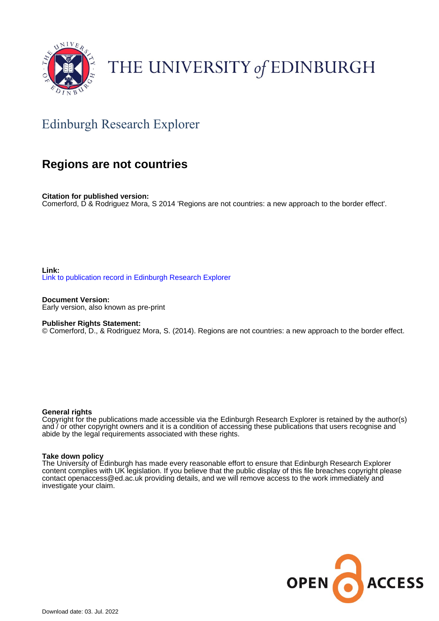

# THE UNIVERSITY of EDINBURGH

## Edinburgh Research Explorer

### **Regions are not countries**

**Citation for published version:** Comerford, D & Rodriguez Mora, S 2014 'Regions are not countries: a new approach to the border effect'.

**Link:** [Link to publication record in Edinburgh Research Explorer](https://www.research.ed.ac.uk/en/publications/5a527ff8-a6c9-4f58-9bc9-f7d8d657080e)

**Document Version:** Early version, also known as pre-print

#### **Publisher Rights Statement:**

© Comerford, D., & Rodriguez Mora, S. (2014). Regions are not countries: a new approach to the border effect.

#### **General rights**

Copyright for the publications made accessible via the Edinburgh Research Explorer is retained by the author(s) and / or other copyright owners and it is a condition of accessing these publications that users recognise and abide by the legal requirements associated with these rights.

#### **Take down policy**

The University of Edinburgh has made every reasonable effort to ensure that Edinburgh Research Explorer content complies with UK legislation. If you believe that the public display of this file breaches copyright please contact openaccess@ed.ac.uk providing details, and we will remove access to the work immediately and investigate your claim.

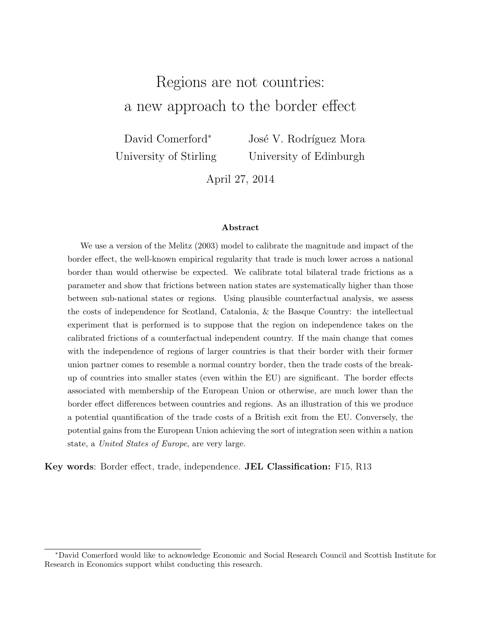## Regions are not countries: a new approach to the border effect

David Comerford<sup>∗</sup> University of Stirling José V. Rodríguez Mora University of Edinburgh

April 27, 2014

#### Abstract

We use a version of the Melitz (2003) model to calibrate the magnitude and impact of the border effect, the well-known empirical regularity that trade is much lower across a national border than would otherwise be expected. We calibrate total bilateral trade frictions as a parameter and show that frictions between nation states are systematically higher than those between sub-national states or regions. Using plausible counterfactual analysis, we assess the costs of independence for Scotland, Catalonia, & the Basque Country: the intellectual experiment that is performed is to suppose that the region on independence takes on the calibrated frictions of a counterfactual independent country. If the main change that comes with the independence of regions of larger countries is that their border with their former union partner comes to resemble a normal country border, then the trade costs of the breakup of countries into smaller states (even within the EU) are significant. The border effects associated with membership of the European Union or otherwise, are much lower than the border effect differences between countries and regions. As an illustration of this we produce a potential quantification of the trade costs of a British exit from the EU. Conversely, the potential gains from the European Union achieving the sort of integration seen within a nation state, a United States of Europe, are very large.

Key words: Border effect, trade, independence. JEL Classification: F15, R13

<sup>∗</sup>David Comerford would like to acknowledge Economic and Social Research Council and Scottish Institute for Research in Economics support whilst conducting this research.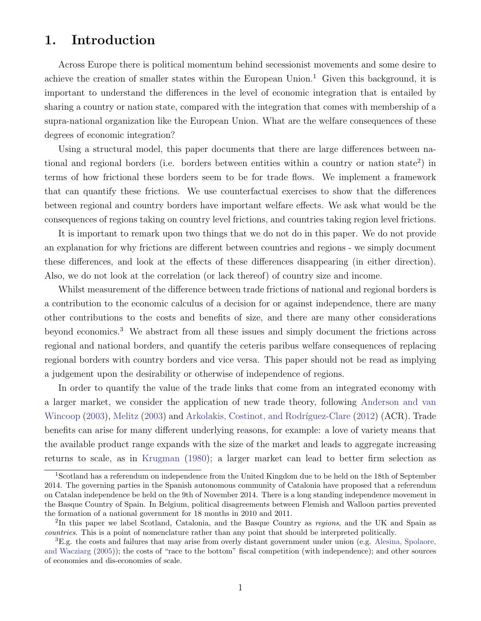### 1. Introduction

Across Europe there is political momentum behind secessionist movements and some desire to achieve the creation of smaller states within the European Union.<sup>[1](#page-2-0)</sup> Given this background, it is important to understand the differences in the level of economic integration that is entailed by sharing a country or nation state, compared with the integration that comes with membership of a supra-national organization like the European Union. What are the welfare consequences of these degrees of economic integration?

Using a structural model, this paper documents that there are large differences between na-tional and regional borders (i.e. borders between entities within a country or nation state<sup>[2](#page-2-1)</sup>) in terms of how frictional these borders seem to be for trade flows. We implement a framework that can quantify these frictions. We use counterfactual exercises to show that the differences between regional and country borders have important welfare effects. We ask what would be the consequences of regions taking on country level frictions, and countries taking region level frictions.

It is important to remark upon two things that we do not do in this paper. We do not provide an explanation for why frictions are different between countries and regions - we simply document these differences, and look at the effects of these differences disappearing (in either direction). Also, we do not look at the correlation (or lack thereof) of country size and income.

Whilst measurement of the difference between trade frictions of national and regional borders is a contribution to the economic calculus of a decision for or against independence, there are many other contributions to the costs and benefits of size, and there are many other considerations beyond economics.[3](#page-2-2) We abstract from all these issues and simply document the frictions across regional and national borders, and quantify the ceteris paribus welfare consequences of replacing regional borders with country borders and vice versa. This paper should not be read as implying a judgement upon the desirability or otherwise of independence of regions.

In order to quantify the value of the trade links that come from an integrated economy with a larger market, we consider the application of new trade theory, following [Anderson and van](#page-25-0) [Wincoop](#page-25-0) [\(2003\)](#page-25-1), [Melitz](#page-25-1) (2003) and Arkolakis, Costinot, and Rodríguez-Clare [\(2012\)](#page-25-2) (ACR). Trade benefits can arise for many different underlying reasons, for example: a love of variety means that the available product range expands with the size of the market and leads to aggregate increasing returns to scale, as in [Krugman](#page-25-3) [\(1980\)](#page-25-3); a larger market can lead to better firm selection as

<span id="page-2-0"></span><sup>&</sup>lt;sup>1</sup>Scotland has a referendum on independence from the United Kingdom due to be held on the 18th of September 2014. The governing parties in the Spanish autonomous community of Catalonia have proposed that a referendum on Catalan independence be held on the 9th of November 2014. There is a long standing independence movement in the Basque Country of Spain. In Belgium, political disagreements between Flemish and Walloon parties prevented the formation of a national government for 18 months in 2010 and 2011.

<span id="page-2-1"></span><sup>&</sup>lt;sup>2</sup>In this paper we label Scotland, Catalonia, and the Basque Country as regions, and the UK and Spain as countries. This is a point of nomenclature rather than any point that should be interpreted politically.

<span id="page-2-2"></span><sup>3</sup>E.g. the costs and failures that may arise from overly distant government under union (e.g. [Alesina, Spolaore,](#page-25-4) [and Wacziarg](#page-25-4) [\(2005\)](#page-25-4)); the costs of "race to the bottom" fiscal competition (with independence); and other sources of economies and dis-economies of scale.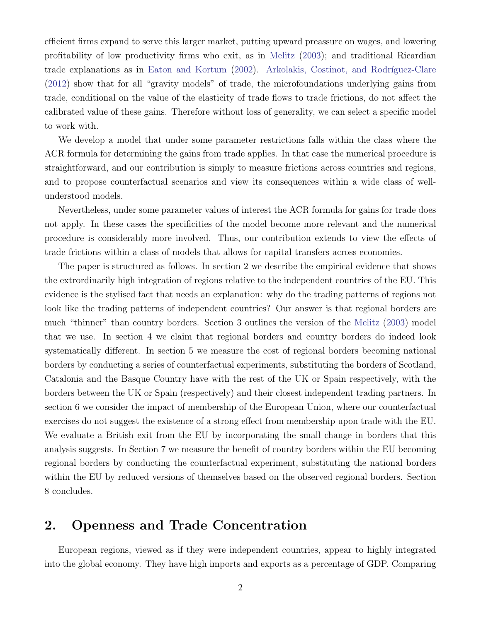efficient firms expand to serve this larger market, putting upward preassure on wages, and lowering profitability of low productivity firms who exit, as in [Melitz](#page-25-1) [\(2003\)](#page-25-1); and traditional Ricardian trade explanations as in [Eaton and Kortum](#page-25-5) [\(2002\)](#page-25-5). Arkolakis, Costinot, and Rodríguez-Clare [\(2012\)](#page-25-2) show that for all "gravity models" of trade, the microfoundations underlying gains from trade, conditional on the value of the elasticity of trade flows to trade frictions, do not affect the calibrated value of these gains. Therefore without loss of generality, we can select a specific model to work with.

We develop a model that under some parameter restrictions falls within the class where the ACR formula for determining the gains from trade applies. In that case the numerical procedure is straightforward, and our contribution is simply to measure frictions across countries and regions, and to propose counterfactual scenarios and view its consequences within a wide class of wellunderstood models.

Nevertheless, under some parameter values of interest the ACR formula for gains for trade does not apply. In these cases the specificities of the model become more relevant and the numerical procedure is considerably more involved. Thus, our contribution extends to view the effects of trade frictions within a class of models that allows for capital transfers across economies.

The paper is structured as follows. In section [2](#page-3-0) we describe the empirical evidence that shows the extrordinarily high integration of regions relative to the independent countries of the EU. This evidence is the stylised fact that needs an explanation: why do the trading patterns of regions not look like the trading patterns of independent countries? Our answer is that regional borders are much "thinner" than country borders. Section [3](#page-5-0) outlines the version of the [Melitz](#page-25-1) [\(2003\)](#page-25-1) model that we use. In section [4](#page-10-0) we claim that regional borders and country borders do indeed look systematically different. In section [5](#page-14-0) we measure the cost of regional borders becoming national borders by conducting a series of counterfactual experiments, substituting the borders of Scotland, Catalonia and the Basque Country have with the rest of the UK or Spain respectively, with the borders between the UK or Spain (respectively) and their closest independent trading partners. In section [6](#page-21-0) we consider the impact of membership of the European Union, where our counterfactual exercises do not suggest the existence of a strong effect from membership upon trade with the EU. We evaluate a British exit from the EU by incorporating the small change in borders that this analysis suggests. In Section [7](#page-23-0) we measure the benefit of country borders within the EU becoming regional borders by conducting the counterfactual experiment, substituting the national borders within the EU by reduced versions of themselves based on the observed regional borders. Section [8](#page-23-1) concludes.

### <span id="page-3-0"></span>2. Openness and Trade Concentration

European regions, viewed as if they were independent countries, appear to highly integrated into the global economy. They have high imports and exports as a percentage of GDP. Comparing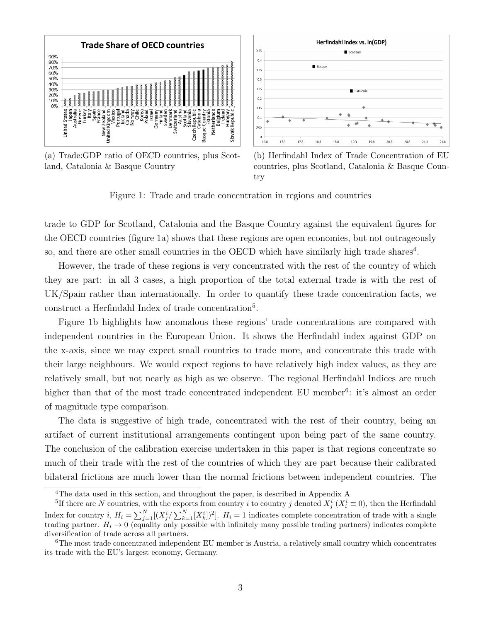<span id="page-4-0"></span>

(a) Trade:GDP ratio of OECD countries, plus Scotland, Catalonia & Basque Country



(b) Herfindahl Index of Trade Concentration of EU countries, plus Scotland, Catalonia & Basque Country

Figure 1: Trade and trade concentration in regions and countries

trade to GDP for Scotland, Catalonia and the Basque Country against the equivalent figures for the OECD countries (figure [1a\)](#page-4-0) shows that these regions are open economies, but not outrageously so, and there are other small countries in the OECD which have similarly high trade shares<sup>[4](#page-4-1)</sup>.

However, the trade of these regions is very concentrated with the rest of the country of which they are part: in all 3 cases, a high proportion of the total external trade is with the rest of UK/Spain rather than internationally. In order to quantify these trade concentration facts, we construct a Herfindahl Index of trade concentration<sup>[5](#page-4-2)</sup>.

Figure [1b](#page-4-0) highlights how anomalous these regions' trade concentrations are compared with independent countries in the European Union. It shows the Herfindahl index against GDP on the x-axis, since we may expect small countries to trade more, and concentrate this trade with their large neighbours. We would expect regions to have relatively high index values, as they are relatively small, but not nearly as high as we observe. The regional Herfindahl Indices are much higher than that of the most trade concentrated independent EU member<sup>[6](#page-4-3)</sup>: it's almost an order of magnitude type comparison.

The data is suggestive of high trade, concentrated with the rest of their country, being an artifact of current institutional arrangements contingent upon being part of the same country. The conclusion of the calibration exercise undertaken in this paper is that regions concentrate so much of their trade with the rest of the countries of which they are part because their calibrated bilateral frictions are much lower than the normal frictions between independent countries. The

<span id="page-4-2"></span><span id="page-4-1"></span><sup>4</sup>The data used in this section, and throughout the paper, is described in Appendix [A](#page-26-0)

<sup>&</sup>lt;sup>5</sup>If there are N countries, with the exports from country i to country j denoted  $X_j^i$   $(X_i^i \equiv 0)$ , then the Herfindahl Index for country i,  $H_i = \sum_{j=1}^{N} [(X_j^i / \sum_{k=1}^{N} [X_k^i])^2]$ .  $H_i = 1$  indicates complete concentration of trade with a single trading partner.  $H_i \to 0$  (equality only possible with infinitely many possible trading partners) indicates complete diversification of trade across all partners.

<span id="page-4-3"></span><sup>6</sup>The most trade concentrated independent EU member is Austria, a relatively small country which concentrates its trade with the EU's largest economy, Germany.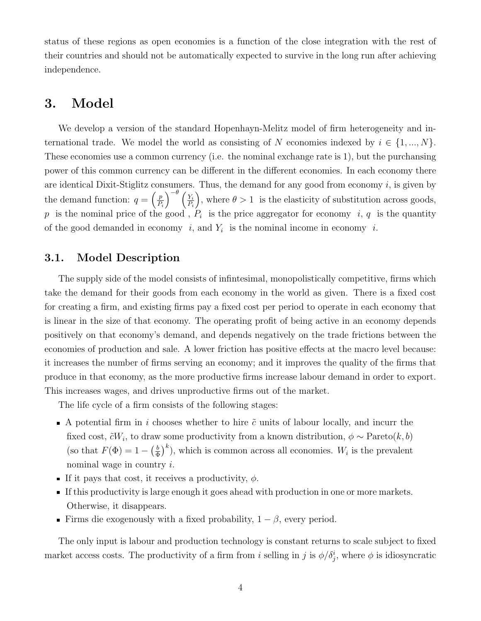status of these regions as open economies is a function of the close integration with the rest of their countries and should not be automatically expected to survive in the long run after achieving independence.

### <span id="page-5-0"></span>3. Model

We develop a version of the standard Hopenhayn-Melitz model of firm heterogeneity and international trade. We model the world as consisting of N economies indexed by  $i \in \{1, ..., N\}$ . These economies use a common currency (i.e. the nominal exchange rate is 1), but the purchansing power of this common currency can be different in the different economies. In each economy there are identical Dixit-Stiglitz consumers. Thus, the demand for any good from economy  $i$ , is given by the demand function:  $q = \begin{pmatrix} p \\ p \end{pmatrix}$  $P_i$  $\int^{-\theta} \left( \frac{Y_i}{Y_i} \right)$  $P_i$ ), where  $\theta > 1$  is the elasticity of substitution across goods, p is the nominal price of the good,  $P_i$  is the price aggregator for economy i, q is the quantity of the good demanded in economy i, and  $Y_i$  is the nominal income in economy i.

#### 3.1. Model Description

The supply side of the model consists of infintesimal, monopolistically competitive, firms which take the demand for their goods from each economy in the world as given. There is a fixed cost for creating a firm, and existing firms pay a fixed cost per period to operate in each economy that is linear in the size of that economy. The operating profit of being active in an economy depends positively on that economy's demand, and depends negatively on the trade frictions between the economies of production and sale. A lower friction has positive effects at the macro level because: it increases the number of firms serving an economy; and it improves the quality of the firms that produce in that economy, as the more productive firms increase labour demand in order to export. This increases wages, and drives unproductive firms out of the market.

The life cycle of a firm consists of the following stages:

- A potential firm in i chooses whether to hire  $\tilde{c}$  units of labour locally, and incurr the fixed cost,  $\tilde{c}W_i$ , to draw some productivity from a known distribution,  $\phi \sim \text{Pareto}(k, b)$ (so that  $F(\Phi) = 1 - \left(\frac{b}{\Phi}\right)$  $(\frac{b}{\Phi})^k$ , which is common across all economies.  $W_i$  is the prevalent nominal wage in country i.
- If it pays that cost, it receives a productivity,  $\phi$ .
- If this productivity is large enough it goes ahead with production in one or more markets. Otherwise, it disappears.
- Firms die exogenously with a fixed probability,  $1 \beta$ , every period.

The only input is labour and production technology is constant returns to scale subject to fixed market access costs. The productivity of a firm from i selling in j is  $\phi/\delta_j^i$ , where  $\phi$  is idiosyncratic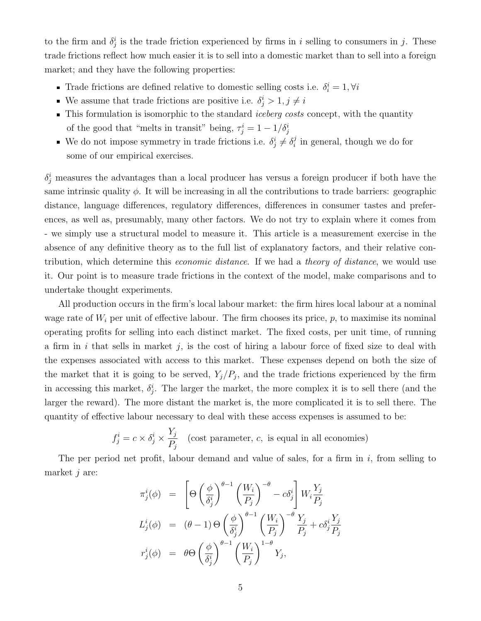to the firm and  $\delta_j^i$  is the trade friction experienced by firms in i selling to consumers in j. These trade frictions reflect how much easier it is to sell into a domestic market than to sell into a foreign market; and they have the following properties:

- Trade frictions are defined relative to domestic selling costs i.e.  $\delta_i^i = 1, \forall i$
- We assume that trade frictions are positive i.e.  $\delta_j^i > 1, j \neq i$
- **This formulation is isomorphic to the standard** *iceberg costs* **concept, with the quantity** of the good that "melts in transit" being,  $\tau_j^i = 1 - 1/\delta_j^i$
- We do not impose symmetry in trade frictions i.e.  $\delta_j^i \neq \delta_i^j$  $i$  in general, though we do for some of our empirical exercises.

 $\delta_j^i$  measures the advantages than a local producer has versus a foreign producer if both have the same intrinsic quality  $\phi$ . It will be increasing in all the contributions to trade barriers: geographic distance, language differences, regulatory differences, differences in consumer tastes and preferences, as well as, presumably, many other factors. We do not try to explain where it comes from - we simply use a structural model to measure it. This article is a measurement exercise in the absence of any definitive theory as to the full list of explanatory factors, and their relative contribution, which determine this *economic distance*. If we had a *theory of distance*, we would use it. Our point is to measure trade frictions in the context of the model, make comparisons and to undertake thought experiments.

All production occurs in the firm's local labour market: the firm hires local labour at a nominal wage rate of  $W_i$  per unit of effective labour. The firm chooses its price,  $p$ , to maximise its nominal operating profits for selling into each distinct market. The fixed costs, per unit time, of running a firm in i that sells in market j, is the cost of hiring a labour force of fixed size to deal with the expenses associated with access to this market. These expenses depend on both the size of the market that it is going to be served,  $Y_j/P_j$ , and the trade frictions experienced by the firm in accessing this market,  $\delta_j^i$ . The larger the market, the more complex it is to sell there (and the larger the reward). The more distant the market is, the more complicated it is to sell there. The quantity of effective labour necessary to deal with these access expenses is assumed to be:

$$
f_j^i = c \times \delta_j^i \times \frac{Y_j}{P_j}
$$
 (cost parameter, c, is equal in all economics)

The per period net profit, labour demand and value of sales, for a firm in  $i$ , from selling to market  $j$  are:

$$
\pi_j^i(\phi) = \left[\Theta\left(\frac{\phi}{\delta_j^i}\right)^{\theta-1} \left(\frac{W_i}{P_j}\right)^{-\theta} - c\delta_j^i\right] W_i \frac{Y_j}{P_j}
$$
  

$$
L_j^i(\phi) = (\theta - 1)\Theta\left(\frac{\phi}{\delta_j^i}\right)^{\theta-1} \left(\frac{W_i}{P_j}\right)^{-\theta} \frac{Y_j}{P_j} + c\delta_j^i \frac{Y_j}{P_j}
$$
  

$$
r_j^i(\phi) = \theta\Theta\left(\frac{\phi}{\delta_j^i}\right)^{\theta-1} \left(\frac{W_i}{P_j}\right)^{1-\theta} Y_j,
$$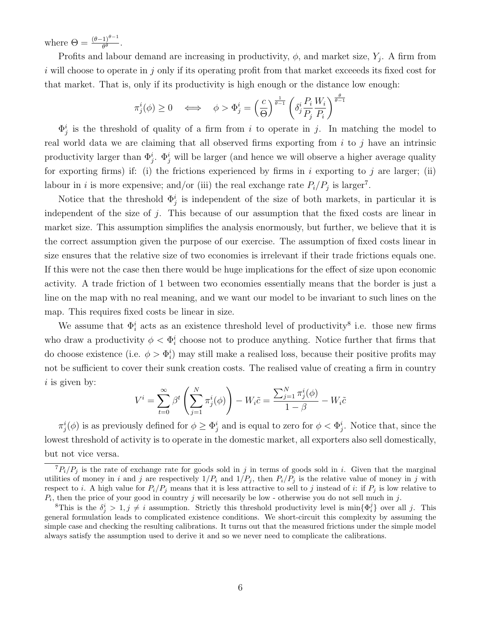where  $\Theta = \frac{(\theta - 1)^{\theta - 1}}{\theta^{\theta}}$ .

Profits and labour demand are increasing in productivity,  $\phi$ , and market size,  $Y_j$ . A firm from i will choose to operate in j only if its operating profit from that market exceeds its fixed cost for that market. That is, only if its productivity is high enough or the distance low enough:

$$
\pi_j^i(\phi) \ge 0 \quad \Longleftrightarrow \quad \phi > \Phi_j^i = \left(\frac{c}{\Theta}\right)^{\frac{1}{\theta-1}} \left(\delta_j^i \frac{P_i}{P_j} \frac{W_i}{P_i}\right)^{\frac{\theta}{\theta-1}}
$$

 $\Phi_j^i$  is the threshold of quality of a firm from i to operate in j. In matching the model to real world data we are claiming that all observed firms exporting from  $i$  to  $j$  have an intrinsic productivity larger than  $\Phi_j^i$ .  $\Phi_j^i$  will be larger (and hence we will observe a higher average quality for exporting firms) if: (i) the frictions experienced by firms in  $i$  exporting to  $j$  are larger; (ii) labour in *i* is more expensive; and/or (iii) the real exchange rate  $P_i/P_j$  is larger<sup>[7](#page-7-0)</sup>.

Notice that the threshold  $\Phi_j^i$  is independent of the size of both markets, in particular it is independent of the size of j. This because of our assumption that the fixed costs are linear in market size. This assumption simplifies the analysis enormously, but further, we believe that it is the correct assumption given the purpose of our exercise. The assumption of fixed costs linear in size ensures that the relative size of two economies is irrelevant if their trade frictions equals one. If this were not the case then there would be huge implications for the effect of size upon economic activity. A trade friction of 1 between two economies essentially means that the border is just a line on the map with no real meaning, and we want our model to be invariant to such lines on the map. This requires fixed costs be linear in size.

We assume that  $\Phi_i^i$  acts as an existence threshold level of productivity<sup>[8](#page-7-1)</sup> i.e. those new firms who draw a productivity  $\phi < \Phi_i^i$  choose not to produce anything. Notice further that firms that do choose existence (i.e.  $\phi > \Phi_i^i$ ) may still make a realised loss, because their positive profits may not be sufficient to cover their sunk creation costs. The realised value of creating a firm in country  $i$  is given by:

$$
V^{i} = \sum_{t=0}^{\infty} \beta^{t} \left( \sum_{j=1}^{N} \pi_{j}^{i}(\phi) \right) - W_{i}\tilde{c} = \frac{\sum_{j=1}^{N} \pi_{j}^{i}(\phi)}{1 - \beta} - W_{i}\tilde{c}
$$

 $\pi_j^i(\phi)$  is as previously defined for  $\phi \geq \Phi_j^i$  and is equal to zero for  $\phi < \Phi_j^i$ . Notice that, since the lowest threshold of activity is to operate in the domestic market, all exporters also sell domestically, but not vice versa.

<span id="page-7-0"></span> ${}^{7}P_{i}/P_{j}$  is the rate of exchange rate for goods sold in j in terms of goods sold in i. Given that the marginal utilities of money in i and j are respectively  $1/P_i$  and  $1/P_j$ , then  $P_i/P_j$  is the relative value of money in j with respect to i. A high value for  $P_i/P_j$  means that it is less attractive to sell to j instead of i: if  $P_j$  is low relative to  $P_i$ , then the price of your good in country j will necesarily be low - otherwise you do not sell much in j.

<span id="page-7-1"></span><sup>&</sup>lt;sup>8</sup>This is the  $\delta_j^i > 1, j \neq i$  assumption. Strictly this threshold productivity level is min $\{\Phi_i^j\}$  over all j. This general formulation leads to complicated existence conditions. We short-circuit this complexity by assuming the simple case and checking the resulting calibrations. It turns out that the measured frictions under the simple model always satisfy the assumption used to derive it and so we never need to complicate the calibrations.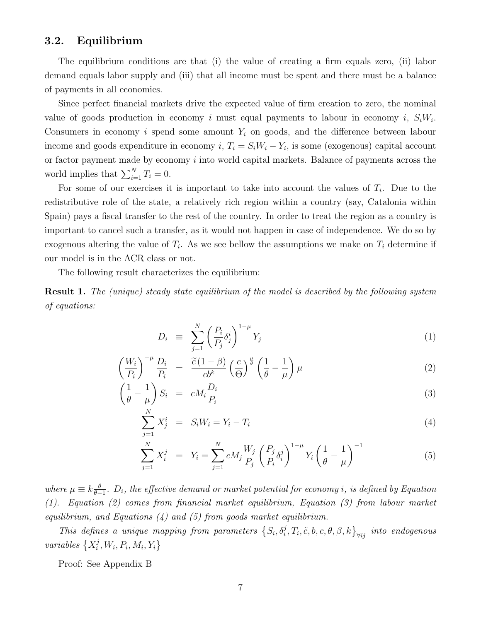#### 3.2. Equilibrium

The equilibrium conditions are that (i) the value of creating a firm equals zero, (ii) labor demand equals labor supply and (iii) that all income must be spent and there must be a balance of payments in all economies.

Since perfect financial markets drive the expected value of firm creation to zero, the nominal value of goods production in economy i must equal payments to labour in economy i,  $S_iW_i$ . Consumers in economy i spend some amount  $Y_i$  on goods, and the difference between labour income and goods expenditure in economy  $i, T_i = S_i W_i - Y_i$ , is some (exogenous) capital account or factor payment made by economy  $i$  into world capital markets. Balance of payments across the world implies that  $\sum_{i=1}^{N} T_i = 0$ .

For some of our exercises it is important to take into account the values of  $T_i$ . Due to the redistributive role of the state, a relatively rich region within a country (say, Catalonia within Spain) pays a fiscal transfer to the rest of the country. In order to treat the region as a country is important to cancel such a transfer, as it would not happen in case of independence. We do so by exogenous altering the value of  $T_i$ . As we see bellow the assumptions we make on  $T_i$  determine if our model is in the ACR class or not.

The following result characterizes the equilibrium:

Result 1. The (unique) steady state equilibrium of the model is described by the following system of equations:

<span id="page-8-0"></span>
$$
D_i \equiv \sum_{j=1}^N \left(\frac{P_i}{P_j} \delta_j^i\right)^{1-\mu} Y_j \tag{1}
$$

$$
\left(\frac{W_i}{P_i}\right)^{-\mu} \frac{D_i}{P_i} = \frac{\widetilde{c}(1-\beta)}{cb^k} \left(\frac{c}{\Theta}\right)^{\frac{\mu}{\theta}} \left(\frac{1}{\theta} - \frac{1}{\mu}\right) \mu \tag{2}
$$

$$
\left(\frac{1}{\theta} - \frac{1}{\mu}\right) S_i = cM_i \frac{D_i}{P_i} \tag{3}
$$

$$
\sum_{j=1}^{N} X_j^i = S_i W_i = Y_i - T_i \tag{4}
$$

$$
\sum_{j=1}^{N} X_i^j = Y_i = \sum_{j=1}^{N} c M_j \frac{W_j}{P_j} \left(\frac{P_j}{P_i} \delta_i^j\right)^{1-\mu} Y_i \left(\frac{1}{\theta} - \frac{1}{\mu}\right)^{-1}
$$
(5)

where  $\mu \equiv k \frac{\theta}{\theta - \theta}$  $\frac{\theta}{\theta-1}$ .  $D_i$ , the effective demand or market potential for economy i, is defined by Equation [\(1\)](#page-8-0). Equation [\(2\)](#page-8-0) comes from financial market equilibrium, Equation [\(3\)](#page-8-0) from labour market equilibrium, and Equations  $(4)$  and  $(5)$  from goods market equilibrium.

This defines a unique mapping from parameters  $\{S_i, \delta_i^j, T_i, \tilde{c}, b, c, \theta, \beta, k\}_{\forall ij}$  into endogenous variables  $\{X_i^j\}$  $i<sup>j</sup>, W<sub>i</sub>, P<sub>i</sub>, M<sub>i</sub>, Y<sub>i</sub>$ 

Proof: See Appendix [B](#page-29-0)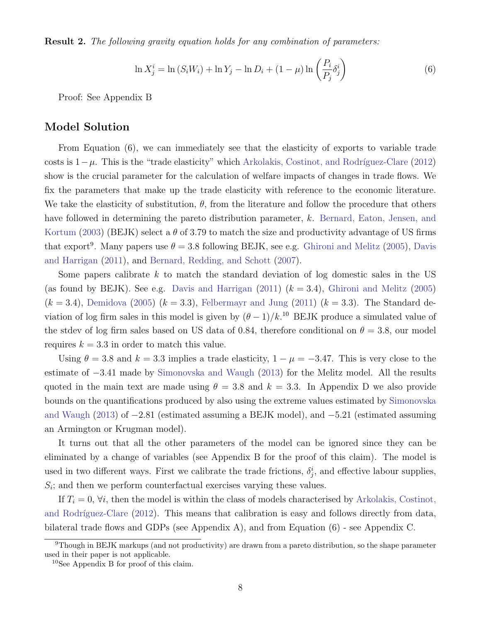**Result 2.** The following gravity equation holds for any combination of parameters:

<span id="page-9-0"></span>
$$
\ln X_j^i = \ln (S_i W_i) + \ln Y_j - \ln D_i + (1 - \mu) \ln \left( \frac{P_i}{P_j} \delta_j^i \right)
$$
 (6)

Proof: See Appendix [B](#page-29-0)

#### Model Solution

From Equation [\(6\)](#page-9-0), we can immediately see that the elasticity of exports to variable trade costs is  $1-\mu$ . This is the "trade elasticity" which Arkolakis, Costinot, and Rodríguez-Clare [\(2012\)](#page-25-2) show is the crucial parameter for the calculation of welfare impacts of changes in trade flows. We fix the parameters that make up the trade elasticity with reference to the economic literature. We take the elasticity of substitution,  $\theta$ , from the literature and follow the procedure that others have followed in determining the pareto distribution parameter, k. [Bernard, Eaton, Jensen, and](#page-25-6) [Kortum](#page-25-6) [\(2003\)](#page-25-6) (BEJK) select a  $\theta$  of 3.79 to match the size and productivity advantage of US firms that export<sup>[9](#page-9-1)</sup>. Many papers use  $\theta = 3.8$  following BEJK, see e.g. [Ghironi and Melitz](#page-25-7) [\(2005\)](#page-25-7), [Davis](#page-25-8) [and Harrigan](#page-25-8) [\(2011\)](#page-25-8), and [Bernard, Redding, and Schott](#page-25-9) [\(2007\)](#page-25-9).

Some papers calibrate  $k$  to match the standard deviation of log domestic sales in the US (as found by BEJK). See e.g. [Davis and Harrigan](#page-25-8)  $(2011)$   $(k = 3.4)$ , [Ghironi and Melitz](#page-25-7)  $(2005)$  $(k = 3.4)$ , [Demidova](#page-25-10) [\(2005\)](#page-25-10)  $(k = 3.3)$ , [Felbermayr and Jung](#page-25-11) [\(2011\)](#page-25-11)  $(k = 3.3)$ . The Standard deviation of log firm sales in this model is given by  $(\theta - 1)/k$ .<sup>[10](#page-9-2)</sup> BEJK produce a simulated value of the stdev of log firm sales based on US data of 0.84, therefore conditional on  $\theta = 3.8$ , our model requires  $k = 3.3$  in order to match this value.

Using  $\theta = 3.8$  and  $k = 3.3$  implies a trade elasticity,  $1 - \mu = -3.47$ . This is very close to the estimate of −3.41 made by [Simonovska and Waugh](#page-25-12) [\(2013\)](#page-25-12) for the Melitz model. All the results quoted in the main text are made using  $\theta = 3.8$  and  $k = 3.3$ . In Appendix [D](#page-40-0) we also provide bounds on the quantifications produced by also using the extreme values estimated by [Simonovska](#page-25-12) [and Waugh](#page-25-12) [\(2013\)](#page-25-12) of −2.81 (estimated assuming a BEJK model), and −5.21 (estimated assuming an Armington or Krugman model).

It turns out that all the other parameters of the model can be ignored since they can be eliminated by a change of variables (see Appendix [B](#page-29-0) for the proof of this claim). The model is used in two different ways. First we calibrate the trade frictions,  $\delta_j^i$ , and effective labour supplies,  $S_i$ ; and then we perform counterfactual exercises varying these values.

If  $T_i = 0$ ,  $\forall i$ , then the model is within the class of models characterised by [Arkolakis, Costinot,](#page-25-2) and Rodríguez-Clare  $(2012)$ . This means that calibration is easy and follows directly from data, bilateral trade flows and GDPs (see Appendix [A\)](#page-26-0), and from Equation [\(6\)](#page-9-0) - see Appendix [C.](#page-37-0)

<span id="page-9-1"></span><sup>&</sup>lt;sup>9</sup>Though in BEJK markups (and not productivity) are drawn from a pareto distribution, so the shape parameter used in their paper is not applicable.

<span id="page-9-2"></span><sup>10</sup>See Appendix [B](#page-29-0) for proof of this claim.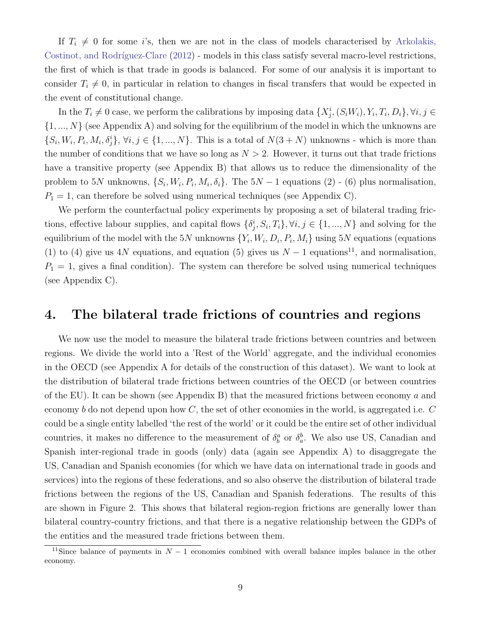If  $T_i \neq 0$  for some i's, then we are not in the class of models characterised by [Arkolakis,](#page-25-2) Costinot, and Rodríguez-Clare [\(2012\)](#page-25-2) - models in this class satisfy several macro-level restrictions, the first of which is that trade in goods is balanced. For some of our analysis it is important to consider  $T_i \neq 0$ , in particular in relation to changes in fiscal transfers that would be expected in the event of constitutional change.

In the  $T_i \neq 0$  case, we perform the calibrations by imposing data  $\{X_j^i, (S_i W_i), Y_i, T_i, D_i\}, \forall i, j \in$  $\{1, ..., N\}$  (see Appendix [A\)](#page-26-0) and solving for the equilibrium of the model in which the unknowns are  $\{S_i, W_i, P_i, M_i, \delta_j^i\}, \forall i, j \in \{1, ..., N\}.$  This is a total of  $N(3+N)$  unknowns - which is more than the number of conditions that we have so long as  $N > 2$ . However, it turns out that trade frictions have a transitive property (see Appendix [B\)](#page-29-0) that allows us to reduce the dimensionality of the problem to 5N unknowns,  $\{S_i, W_i, P_i, M_i, \delta_i\}$ . The 5N – 1 equations [\(2\)](#page-8-0) - [\(6\)](#page-9-0) plus normalisation,  $P_1 = 1$ , can therefore be solved using numerical techniques (see Appendix [C\)](#page-37-0).

We perform the counterfactual policy experiments by proposing a set of bilateral trading frictions, effective labour supplies, and capital flows  $\{\delta_j^i, S_i, T_i\}, \forall i, j \in \{1, ..., N\}$  and solving for the equilibrium of the model with the 5N unknowns  $\{Y_i, W_i, D_i, P_i, M_i\}$  using 5N equations (equations [\(1\)](#page-8-0) to [\(4\)](#page-8-0) give us 4N equations, and equation [\(5\)](#page-8-0) gives us  $N-1$  equations<sup>[11](#page-10-1)</sup>, and normalisation,  $P_1 = 1$ , gives a final condition). The system can therefore be solved using numerical techniques (see Appendix [C\)](#page-37-0).

### <span id="page-10-0"></span>4. The bilateral trade frictions of countries and regions

We now use the model to measure the bilateral trade frictions between countries and between regions. We divide the world into a 'Rest of the World' aggregate, and the individual economies in the OECD (see Appendix [A](#page-26-0) for details of the construction of this dataset). We want to look at the distribution of bilateral trade frictions between countries of the OECD (or between countries of the EU). It can be shown (see Appendix [B\)](#page-29-0) that the measured frictions between economy  $a$  and economy b do not depend upon how  $C$ , the set of other economies in the world, is aggregated i.e.  $C$ could be a single entity labelled 'the rest of the world' or it could be the entire set of other individual countries, it makes no difference to the measurement of  $\delta_b^a$  or  $\delta_a^b$ . We also use US, Canadian and Spanish inter-regional trade in goods (only) data (again see Appendix [A\)](#page-26-0) to disaggregate the US, Canadian and Spanish economies (for which we have data on international trade in goods and services) into the regions of these federations, and so also observe the distribution of bilateral trade frictions between the regions of the US, Canadian and Spanish federations. The results of this are shown in Figure [2.](#page-11-0) This shows that bilateral region-region frictions are generally lower than bilateral country-country frictions, and that there is a negative relationship between the GDPs of the entities and the measured trade frictions between them.

<span id="page-10-1"></span><sup>&</sup>lt;sup>11</sup>Since balance of payments in  $N-1$  economies combined with overall balance imples balance in the other economy.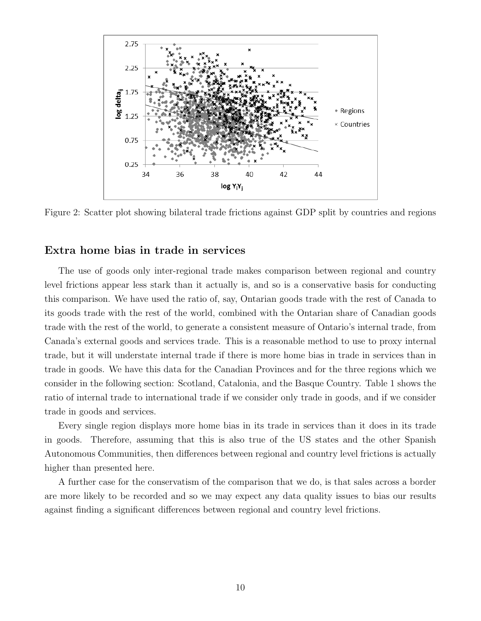<span id="page-11-0"></span>

Figure 2: Scatter plot showing bilateral trade frictions against GDP split by countries and regions

#### Extra home bias in trade in services

The use of goods only inter-regional trade makes comparison between regional and country level frictions appear less stark than it actually is, and so is a conservative basis for conducting this comparison. We have used the ratio of, say, Ontarian goods trade with the rest of Canada to its goods trade with the rest of the world, combined with the Ontarian share of Canadian goods trade with the rest of the world, to generate a consistent measure of Ontario's internal trade, from Canada's external goods and services trade. This is a reasonable method to use to proxy internal trade, but it will understate internal trade if there is more home bias in trade in services than in trade in goods. We have this data for the Canadian Provinces and for the three regions which we consider in the following section: Scotland, Catalonia, and the Basque Country. Table [1](#page-12-0) shows the ratio of internal trade to international trade if we consider only trade in goods, and if we consider trade in goods and services.

Every single region displays more home bias in its trade in services than it does in its trade in goods. Therefore, assuming that this is also true of the US states and the other Spanish Autonomous Communities, then differences between regional and country level frictions is actually higher than presented here.

A further case for the conservatism of the comparison that we do, is that sales across a border are more likely to be recorded and so we may expect any data quality issues to bias our results against finding a significant differences between regional and country level frictions.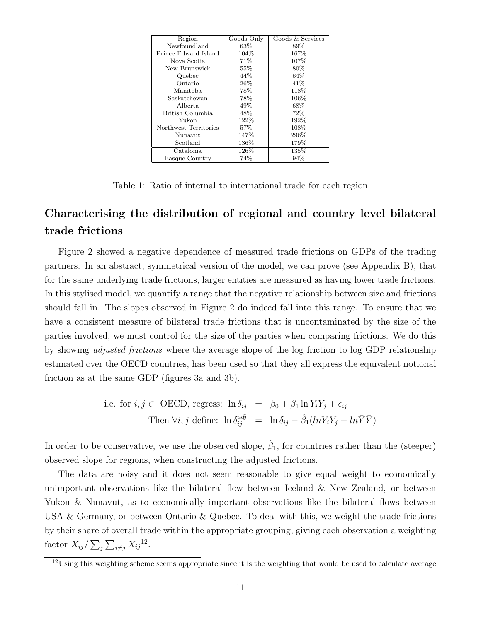<span id="page-12-0"></span>

| Region                | Goods Only | Goods & Services |
|-----------------------|------------|------------------|
| Newfoundland          | 63\%       | 89%              |
| Prince Edward Island  | 104\%      | 167\%            |
| Nova Scotia           | 71\%       | 107%             |
| New Brunswick         | 55%        | 80%              |
| Quebec                | 44\%       | 64\%             |
| Ontario               | 26%        | 41\%             |
| Manitoba.             | 78%        | 118%             |
| Saskatchewan          | 78%        | 106\%            |
| Alberta               | 49%        | 68\%             |
| British Columbia      | 48\%       | 72%              |
| Yukon                 | 122\%      | 192%             |
| Northwest Territories | 57%        | 108\%            |
| Nunavut               | 147%       | 296\%            |
| Scotland              | $136\%$    | 179%             |
| Catalonia             | 126%       | 135%             |
| <b>Basque Country</b> | 74%        | 94%              |

Table 1: Ratio of internal to international trade for each region

### Characterising the distribution of regional and country level bilateral trade frictions

Figure [2](#page-11-0) showed a negative dependence of measured trade frictions on GDPs of the trading partners. In an abstract, symmetrical version of the model, we can prove (see Appendix [B\)](#page-29-0), that for the same underlying trade frictions, larger entities are measured as having lower trade frictions. In this stylised model, we quantify a range that the negative relationship between size and frictions should fall in. The slopes observed in Figure [2](#page-11-0) do indeed fall into this range. To ensure that we have a consistent measure of bilateral trade frictions that is uncontaminated by the size of the parties involved, we must control for the size of the parties when comparing frictions. We do this by showing adjusted frictions where the average slope of the log friction to log GDP relationship estimated over the OECD countries, has been used so that they all express the equivalent notional friction as at the same GDP (figures [3a](#page-13-0) and [3b\)](#page-13-0).

i.e. for 
$$
i, j \in
$$
 OECD, regress:  $\ln \delta_{ij} = \beta_0 + \beta_1 \ln Y_i Y_j + \epsilon_{ij}$   
Then  $\forall i, j$  define:  $\ln \delta_{ij}^{adj} = \ln \delta_{ij} - \hat{\beta}_1 (ln Y_i Y_j - ln \overline{Y} \overline{Y})$ 

In order to be conservative, we use the observed slope,  $\hat{\beta}_1$ , for countries rather than the (steeper) observed slope for regions, when constructing the adjusted frictions.

The data are noisy and it does not seem reasonable to give equal weight to economically unimportant observations like the bilateral flow between Iceland & New Zealand, or between Yukon & Nunavut, as to economically important observations like the bilateral flows between USA & Germany, or between Ontario & Quebec. To deal with this, we weight the trade frictions by their share of overall trade within the appropriate grouping, giving each observation a weighting factor  $X_{ij}/\sum_j\sum_{i\neq j}X_{ij}^{12}$  $X_{ij}/\sum_j\sum_{i\neq j}X_{ij}^{12}$  $X_{ij}/\sum_j\sum_{i\neq j}X_{ij}^{12}$ .

<span id="page-12-1"></span> $12 \text{Using this weighting scheme seems appropriate since it is the weighting that would be used to calculate average.}$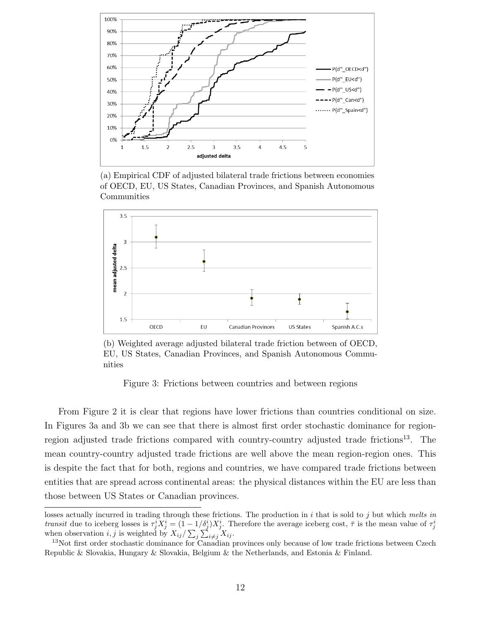<span id="page-13-0"></span>

(a) Empirical CDF of adjusted bilateral trade frictions between economies of OECD, EU, US States, Canadian Provinces, and Spanish Autonomous Communities



(b) Weighted average adjusted bilateral trade friction between of OECD, EU, US States, Canadian Provinces, and Spanish Autonomous Communities

Figure 3: Frictions between countries and between regions

From Figure [2](#page-11-0) it is clear that regions have lower frictions than countries conditional on size. In Figures [3a](#page-13-0) and [3b](#page-13-0) we can see that there is almost first order stochastic dominance for region-region adjusted trade frictions compared with country-country adjusted trade frictions<sup>[13](#page-13-1)</sup>. The mean country-country adjusted trade frictions are well above the mean region-region ones. This is despite the fact that for both, regions and countries, we have compared trade frictions between entities that are spread across continental areas: the physical distances within the EU are less than those between US States or Canadian provinces.

losses actually incurred in trading through these frictions. The production in  $i$  that is sold to  $j$  but which melts in transit due to iceberg losses is  $\tau_j^i X_j^i = (1 - 1/\delta_j^i) X_j^i$ . Therefore the average iceberg cost,  $\bar{\tau}$  is the mean value of  $\tau_j^i$  when observation  $i, j$  is weighted by  $X_{ij}/\sum_j \sum_{i \neq j} X_{ij}$ .

<span id="page-13-1"></span><sup>&</sup>lt;sup>13</sup>Not first order stochastic dominance for Canadian provinces only because of low trade frictions between Czech Republic & Slovakia, Hungary & Slovakia, Belgium & the Netherlands, and Estonia & Finland.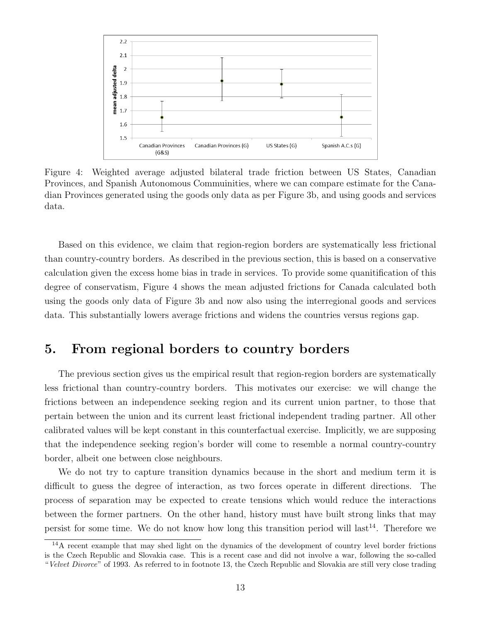<span id="page-14-1"></span>

Figure 4: Weighted average adjusted bilateral trade friction between US States, Canadian Provinces, and Spanish Autonomous Commuinities, where we can compare estimate for the Canadian Provinces generated using the goods only data as per Figure [3b,](#page-13-0) and using goods and services data.

Based on this evidence, we claim that region-region borders are systematically less frictional than country-country borders. As described in the previous section, this is based on a conservative calculation given the excess home bias in trade in services. To provide some quanitification of this degree of conservatism, Figure [4](#page-14-1) shows the mean adjusted frictions for Canada calculated both using the goods only data of Figure [3b](#page-13-0) and now also using the interregional goods and services data. This substantially lowers average frictions and widens the countries versus regions gap.

### <span id="page-14-0"></span>5. From regional borders to country borders

The previous section gives us the empirical result that region-region borders are systematically less frictional than country-country borders. This motivates our exercise: we will change the frictions between an independence seeking region and its current union partner, to those that pertain between the union and its current least frictional independent trading partner. All other calibrated values will be kept constant in this counterfactual exercise. Implicitly, we are supposing that the independence seeking region's border will come to resemble a normal country-country border, albeit one between close neighbours.

We do not try to capture transition dynamics because in the short and medium term it is difficult to guess the degree of interaction, as two forces operate in different directions. The process of separation may be expected to create tensions which would reduce the interactions between the former partners. On the other hand, history must have built strong links that may persist for some time. We do not know how long this transition period will last<sup>[14](#page-14-2)</sup>. Therefore we

<span id="page-14-2"></span> $14A$  recent example that may shed light on the dynamics of the development of country level border frictions is the Czech Republic and Slovakia case. This is a recent case and did not involve a war, following the so-called "Velvet Divorce" of 1993. As referred to in footnote [13,](#page-13-1) the Czech Republic and Slovakia are still very close trading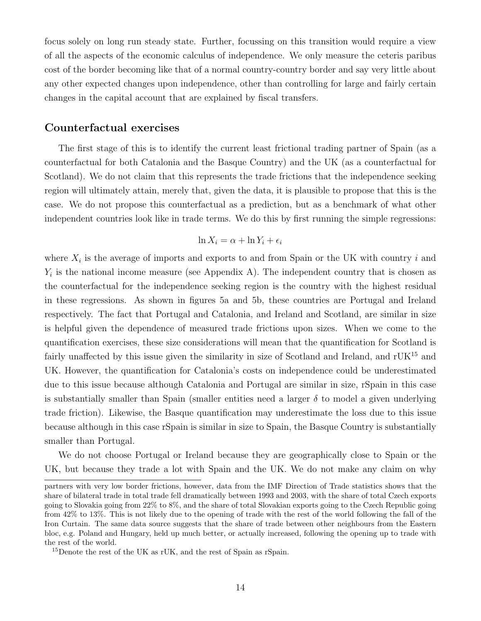focus solely on long run steady state. Further, focussing on this transition would require a view of all the aspects of the economic calculus of independence. We only measure the ceteris paribus cost of the border becoming like that of a normal country-country border and say very little about any other expected changes upon independence, other than controlling for large and fairly certain changes in the capital account that are explained by fiscal transfers.

#### Counterfactual exercises

The first stage of this is to identify the current least frictional trading partner of Spain (as a counterfactual for both Catalonia and the Basque Country) and the UK (as a counterfactual for Scotland). We do not claim that this represents the trade frictions that the independence seeking region will ultimately attain, merely that, given the data, it is plausible to propose that this is the case. We do not propose this counterfactual as a prediction, but as a benchmark of what other independent countries look like in trade terms. We do this by first running the simple regressions:

$$
\ln X_i = \alpha + \ln Y_i + \epsilon_i
$$

where  $X_i$  is the average of imports and exports to and from Spain or the UK with country i and  $Y_i$  is the national income measure (see Appendix [A\)](#page-26-0). The independent country that is chosen as the counterfactual for the independence seeking region is the country with the highest residual in these regressions. As shown in figures [5a](#page-16-0) and [5b,](#page-16-0) these countries are Portugal and Ireland respectively. The fact that Portugal and Catalonia, and Ireland and Scotland, are similar in size is helpful given the dependence of measured trade frictions upon sizes. When we come to the quantification exercises, these size considerations will mean that the quantification for Scotland is fairly unaffected by this issue given the similarity in size of Scotland and Ireland, and  $\rm rUK^{15}$  $\rm rUK^{15}$  $\rm rUK^{15}$  and UK. However, the quantification for Catalonia's costs on independence could be underestimated due to this issue because although Catalonia and Portugal are similar in size, rSpain in this case is substantially smaller than Spain (smaller entities need a larger  $\delta$  to model a given underlying trade friction). Likewise, the Basque quantification may underestimate the loss due to this issue because although in this case rSpain is similar in size to Spain, the Basque Country is substantially smaller than Portugal.

We do not choose Portugal or Ireland because they are geographically close to Spain or the UK, but because they trade a lot with Spain and the UK. We do not make any claim on why

partners with very low border frictions, however, data from the IMF Direction of Trade statistics shows that the share of bilateral trade in total trade fell dramatically between 1993 and 2003, with the share of total Czech exports going to Slovakia going from 22% to 8%, and the share of total Slovakian exports going to the Czech Republic going from 42% to 13%. This is not likely due to the opening of trade with the rest of the world following the fall of the Iron Curtain. The same data source suggests that the share of trade between other neighbours from the Eastern bloc, e.g. Poland and Hungary, held up much better, or actually increased, following the opening up to trade with the rest of the world.

<span id="page-15-0"></span><sup>&</sup>lt;sup>15</sup>Denote the rest of the UK as rUK, and the rest of Spain as rSpain.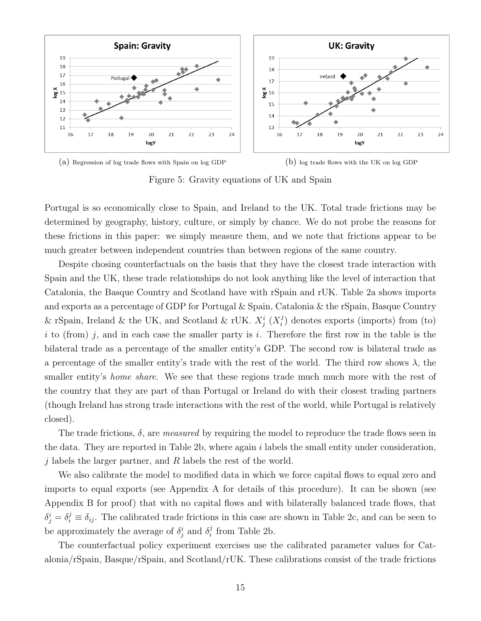<span id="page-16-0"></span>

(a) Regression of log trade flows with Spain on log GDP (b) log trade flows with the UK on log GDP

Figure 5: Gravity equations of UK and Spain

Portugal is so economically close to Spain, and Ireland to the UK. Total trade frictions may be determined by geography, history, culture, or simply by chance. We do not probe the reasons for these frictions in this paper: we simply measure them, and we note that frictions appear to be much greater between independent countries than between regions of the same country.

Despite chosing counterfactuals on the basis that they have the closest trade interaction with Spain and the UK, these trade relationships do not look anything like the level of interaction that Catalonia, the Basque Country and Scotland have with rSpain and rUK. Table [2a](#page-17-0) shows imports and exports as a percentage of GDP for Portugal & Spain, Catalonia & the rSpain, Basque Country & rSpain, Ireland & the UK, and Scotland & rUK.  $X_j^i$  ( $X_i^j$ )  $i$ ) denotes exports (imports) from (to) i to (from) j, and in each case the smaller party is i. Therefore the first row in the table is the bilateral trade as a percentage of the smaller entity's GDP. The second row is bilateral trade as a percentage of the smaller entity's trade with the rest of the world. The third row shows  $\lambda$ , the smaller entity's *home share*. We see that these regions trade much much more with the rest of the country that they are part of than Portugal or Ireland do with their closest trading partners (though Ireland has strong trade interactions with the rest of the world, while Portugal is relatively closed).

The trade frictions,  $\delta$ , are *measured* by requiring the model to reproduce the trade flows seen in the data. They are reported in Table [2b,](#page-17-0) where again  $i$  labels the small entity under consideration, j labels the larger partner, and  $R$  labels the rest of the world.

We also calibrate the model to modified data in which we force capital flows to equal zero and imports to equal exports (see Appendix [A](#page-26-0) for details of this procedure). It can be shown (see Appendix [B](#page-29-0) for proof) that with no capital flows and with bilaterally balanced trade flows, that  $\delta_j^i = \delta_i^j \equiv \delta_{ij}$ . The calibrated trade frictions in this case are shown in Table [2c,](#page-17-0) and can be seen to be approximately the average of  $\delta_j^i$  and  $\delta_i^j$  $i$  from Table [2b.](#page-17-0)

The counterfactual policy experiment exercises use the calibrated parameter values for Catalonia/rSpain, Basque/rSpain, and Scotland/rUK. These calibrations consist of the trade frictions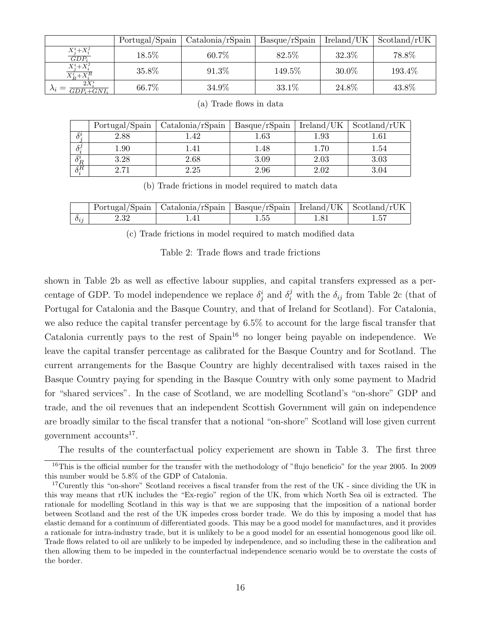<span id="page-17-0"></span>

|                                                             | Portugal/Spain | $\text{Catalonia}/\text{rSpain}$ | Basque/rSpain | Ireland/UK | Scotland/rUK |
|-------------------------------------------------------------|----------------|----------------------------------|---------------|------------|--------------|
| $X_j^i+X_i^j$<br>$GDP_i$                                    | 18.5%          | 60.7%                            | 82.5\%        | 32.3%      | 78.8%        |
| $\frac{\overline{X^i_j + X^j_i}}{\overline{X^i_R + X^R_i}}$ | 35.8%          | 91.3%                            | 149.5%        | $30.0\%$   | 193.4%       |
| $2X^i$<br>$\Delta_i$ -<br>$GDP_i + GNI_i$                   | 66.7%          | 34.9%                            | 33.1%         | 24.8%      | 43.8%        |

|                     | Portugal/Spain          | Catalonia/rSpin | Basque/rSpain | Ireland/UK | Scotland/rUK |
|---------------------|-------------------------|-----------------|---------------|------------|--------------|
|                     | 2.88                    | 42              | $1.63\,$      | $1.93\,$   | .61          |
| $\delta^j$          | 1.90                    |                 | 1.48          | $1.70\,$   | 1.54         |
| ${}^o \overline{R}$ | 3.28                    | $2.68\,$        | 3.09          | 2.03       | 3.03         |
| sΒ                  | $\cdot$ 7 <sup>-1</sup> | 2.25            | 2.96          | 2.02       | 3.04         |

(a) Trade flows in data

(b) Trade frictions in model required to match data

|          |      | Portugal/Spain   Catalonia/rSpain   Basque/rSpain   Ireland/UK   Scotland/rUK |    |  |
|----------|------|-------------------------------------------------------------------------------|----|--|
| $o_{ij}$ | 2.32 |                                                                               | 55 |  |

(c) Trade frictions in model required to match modified data

Table 2: Trade flows and trade frictions

shown in Table [2b](#page-17-0) as well as effective labour supplies, and capital transfers expressed as a percentage of GDP. To model independence we replace  $\delta_j^i$  and  $\delta_i^j$  with the  $\delta_{ij}$  from Table [2c](#page-17-0) (that of Portugal for Catalonia and the Basque Country, and that of Ireland for Scotland). For Catalonia, we also reduce the capital transfer percentage by 6.5% to account for the large fiscal transfer that Catalonia currently pays to the rest of  $\text{Span}^{16}$  $\text{Span}^{16}$  $\text{Span}^{16}$  no longer being payable on independence. We leave the capital transfer percentage as calibrated for the Basque Country and for Scotland. The current arrangements for the Basque Country are highly decentralised with taxes raised in the Basque Country paying for spending in the Basque Country with only some payment to Madrid for "shared services". In the case of Scotland, we are modelling Scotland's "on-shore" GDP and trade, and the oil revenues that an independent Scottish Government will gain on independence are broadly similar to the fiscal transfer that a notional "on-shore" Scotland will lose given current government accounts<sup>[17](#page-17-2)</sup>.

The results of the counterfactual policy experiement are shown in Table [3.](#page-18-0) The first three

<span id="page-17-1"></span><sup>&</sup>lt;sup>16</sup>This is the official number for the transfer with the methodology of "flujo beneficio" for the year 2005. In 2009 this number would be 5.8% of the GDP of Catalonia.

<span id="page-17-2"></span><sup>&</sup>lt;sup>17</sup>Curently this "on-shore" Scotland receives a fiscal transfer from the rest of the UK - since dividing the UK in this way means that rUK includes the "Ex-regio" region of the UK, from which North Sea oil is extracted. The rationale for modelling Scotland in this way is that we are supposing that the imposition of a national border between Scotland and the rest of the UK impedes cross border trade. We do this by imposing a model that has elastic demand for a continuum of differentiated goods. This may be a good model for manufactures, and it provides a rationale for intra-industry trade, but it is unlikely to be a good model for an essential homogenous good like oil. Trade flows related to oil are unlikely to be impeded by independence, and so including these in the calibration and then allowing them to be impeded in the counterfactual independence scenario would be to overstate the costs of the border.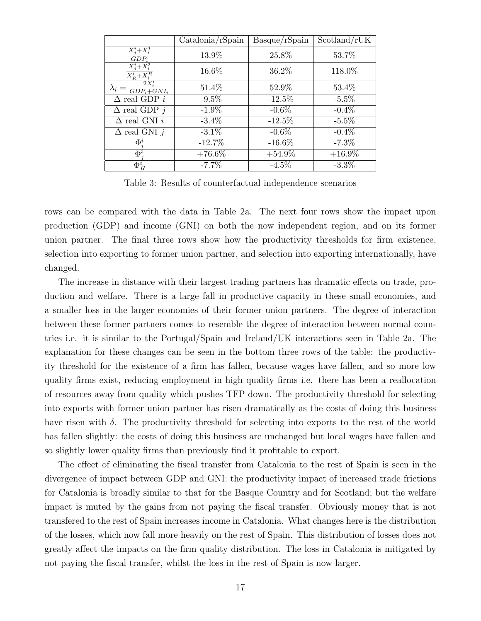<span id="page-18-0"></span>

|                                                   | $\text{Catalonia}/\text{rSpin}$ | Basque/rSpain | Scotland/rUK |
|---------------------------------------------------|---------------------------------|---------------|--------------|
| $X_i^i+X_i^j$<br>$GDP_i$                          | 13.9%                           | 25.8%         | 53.7%        |
| $X_i^i+X_i^j$<br>$\overline{X_R^i+X_i^R}$         | 16.6%                           | 36.2%         | 118.0%       |
| 2X<br>$\lambda_i =$<br>$\overline{GDP_i + GNI_i}$ | 51.4%                           | 52.9%         | 53.4%        |
| $\Delta$ real GDP $i$                             | $-9.5\%$                        | $-12.5%$      | $-5.5%$      |
| $\Delta$ real GDP $j$                             | $-1.9\%$                        | $-0.6\%$      | $-0.4\%$     |
| $\Delta$ real GNI $i$                             | $-3.4\%$                        | $-12.5%$      | $-5.5%$      |
| $\Delta$ real GNI $j$                             | $-3.1\%$                        | $-0.6\%$      | $-0.4\%$     |
| $\Phi_i^i$                                        | $-12.7\%$                       | $-16.6\%$     | $-7.3\%$     |
| $\Phi^i$                                          | $+76.6\%$                       | $+54.9\%$     | $+16.9\%$    |
| $\Phi_R^i$                                        | $-7.7\%$                        | $-4.5\%$      | $-3.3\%$     |

Table 3: Results of counterfactual independence scenarios

rows can be compared with the data in Table [2a.](#page-17-0) The next four rows show the impact upon production (GDP) and income (GNI) on both the now independent region, and on its former union partner. The final three rows show how the productivity thresholds for firm existence, selection into exporting to former union partner, and selection into exporting internationally, have changed.

The increase in distance with their largest trading partners has dramatic effects on trade, production and welfare. There is a large fall in productive capacity in these small economies, and a smaller loss in the larger economies of their former union partners. The degree of interaction between these former partners comes to resemble the degree of interaction between normal countries i.e. it is similar to the Portugal/Spain and Ireland/UK interactions seen in Table [2a.](#page-17-0) The explanation for these changes can be seen in the bottom three rows of the table: the productivity threshold for the existence of a firm has fallen, because wages have fallen, and so more low quality firms exist, reducing employment in high quality firms i.e. there has been a reallocation of resources away from quality which pushes TFP down. The productivity threshold for selecting into exports with former union partner has risen dramatically as the costs of doing this business have risen with  $\delta$ . The productivity threshold for selecting into exports to the rest of the world has fallen slightly: the costs of doing this business are unchanged but local wages have fallen and so slightly lower quality firms than previously find it profitable to export.

The effect of eliminating the fiscal transfer from Catalonia to the rest of Spain is seen in the divergence of impact between GDP and GNI: the productivity impact of increased trade frictions for Catalonia is broadly similar to that for the Basque Country and for Scotland; but the welfare impact is muted by the gains from not paying the fiscal transfer. Obviously money that is not transfered to the rest of Spain increases income in Catalonia. What changes here is the distribution of the losses, which now fall more heavily on the rest of Spain. This distribution of losses does not greatly affect the impacts on the firm quality distribution. The loss in Catalonia is mitigated by not paying the fiscal transfer, whilst the loss in the rest of Spain is now larger.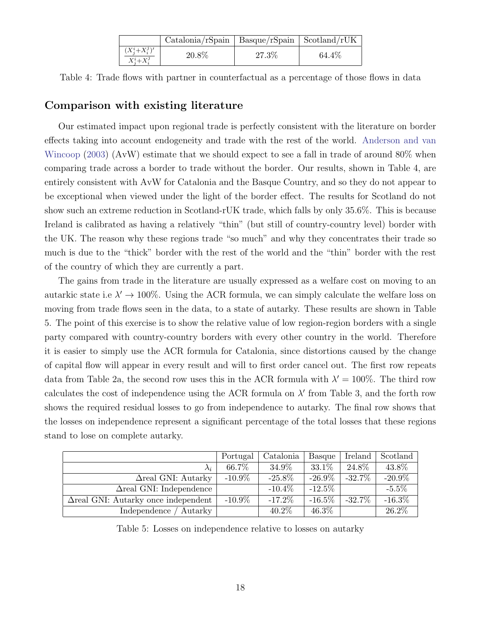|                                       | $\text{Catalonia/r}$ Spain   Basque/rSpain   Scotland/rUK |       |        |
|---------------------------------------|-----------------------------------------------------------|-------|--------|
| $(X_i^{i}+X_i^{j})'$<br>$X_i^i+X_i^j$ | 20.8%                                                     | 27.3% | 64.4\% |

<span id="page-19-0"></span>Table 4: Trade flows with partner in counterfactual as a percentage of those flows in data

#### Comparison with existing literature

Our estimated impact upon regional trade is perfectly consistent with the literature on border effects taking into account endogeneity and trade with the rest of the world. [Anderson and van](#page-25-0) [Wincoop](#page-25-0) [\(2003\)](#page-25-0) (AvW) estimate that we should expect to see a fall in trade of around 80% when comparing trade across a border to trade without the border. Our results, shown in Table [4,](#page-19-0) are entirely consistent with AvW for Catalonia and the Basque Country, and so they do not appear to be exceptional when viewed under the light of the border effect. The results for Scotland do not show such an extreme reduction in Scotland-rUK trade, which falls by only 35.6%. This is because Ireland is calibrated as having a relatively "thin" (but still of country-country level) border with the UK. The reason why these regions trade "so much" and why they concentrates their trade so much is due to the "thick" border with the rest of the world and the "thin" border with the rest of the country of which they are currently a part.

The gains from trade in the literature are usually expressed as a welfare cost on moving to an autarkic state i.e  $\lambda' \rightarrow 100\%$ . Using the ACR formula, we can simply calculate the welfare loss on moving from trade flows seen in the data, to a state of autarky. These results are shown in Table [5.](#page-19-1) The point of this exercise is to show the relative value of low region-region borders with a single party compared with country-country borders with every other country in the world. Therefore it is easier to simply use the ACR formula for Catalonia, since distortions caused by the change of capital flow will appear in every result and will to first order cancel out. The first row repeats data from Table [2a,](#page-17-0) the second row uses this in the ACR formula with  $\lambda' = 100\%$ . The third row calculates the cost of independence using the ACR formula on  $\lambda'$  from Table [3,](#page-18-0) and the forth row shows the required residual losses to go from independence to autarky. The final row shows that the losses on independence represent a significant percentage of the total losses that these regions stand to lose on complete autarky.

<span id="page-19-1"></span>

|                                             | Portugal   | Catalonia | Basque     | Ireland    | Scotland  |
|---------------------------------------------|------------|-----------|------------|------------|-----------|
| $\lambda_i$                                 | 66.7%      | $34.9\%$  | 33.1\%     | 24.8%      | 43.8%     |
| $\Delta$ real GNI: Autarky                  | -10.9 $\%$ | $-25.8\%$ | $-26.9\%$  | $-32.7\%$  | $-20.9\%$ |
| $\Delta$ real GNI: Independence             |            | $-10.4\%$ | -12.5 $\%$ |            | $-5.5\%$  |
| $\Delta$ real GNI: Autarky once independent | $-10.9\%$  | $-17.2\%$ | -16.5 $\%$ | -32.7 $\%$ | $-16.3\%$ |
| Independence /<br>' Autarky                 |            | $40.2\%$  | 46.3%      |            | 26.2%     |

Table 5: Losses on independence relative to losses on autarky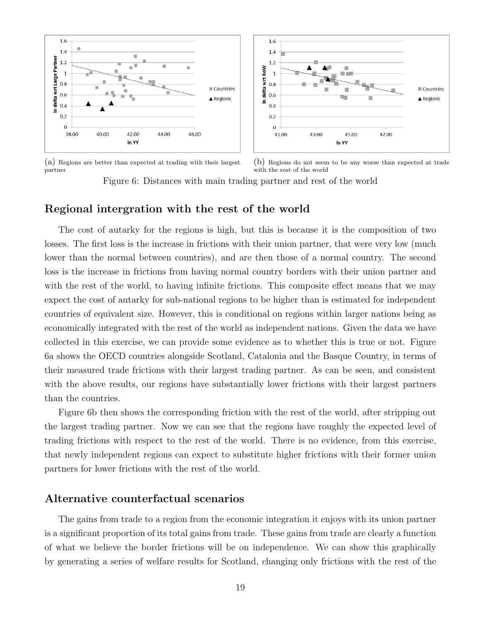<span id="page-20-0"></span>

(a) Regions are better than expected at trading with their largest partner

(b) Regions do not seem to be any worse than expected at trade with the rest of the world

Figure 6: Distances with main trading partner and rest of the world

#### Regional intergration with the rest of the world

The cost of autarky for the regions is high, but this is because it is the composition of two losses. The first loss is the increase in frictions with their union partner, that were very low (much lower than the normal between countries), and are then those of a normal country. The second loss is the increase in frictions from having normal country borders with their union partner and with the rest of the world, to having infinite frictions. This composite effect means that we may expect the cost of autarky for sub-national regions to be higher than is estimated for independent countries of equivalent size. However, this is conditional on regions within larger nations being as economically integrated with the rest of the world as independent nations. Given the data we have collected in this exercise, we can provide some evidence as to whether this is true or not. Figure [6a](#page-20-0) shows the OECD countries alongside Scotland, Catalonia and the Basque Country, in terms of their measured trade frictions with their largest trading partner. As can be seen, and consistent with the above results, our regions have substantially lower frictions with their largest partners than the countries.

Figure [6b](#page-20-0) then shows the corresponding friction with the rest of the world, after stripping out the largest trading partner. Now we can see that the regions have roughly the expected level of trading frictions with respect to the rest of the world. There is no evidence, from this exercise, that newly independent regions can expect to substitute higher frictions with their former union partners for lower frictions with the rest of the world.

#### Alternative counterfactual scenarios

The gains from trade to a region from the economic integration it enjoys with its union partner is a significant proportion of its total gains from trade. These gains from trade are clearly a function of what we believe the border frictions will be on independence. We can show this graphically by generating a series of welfare results for Scotland, changing only frictions with the rest of the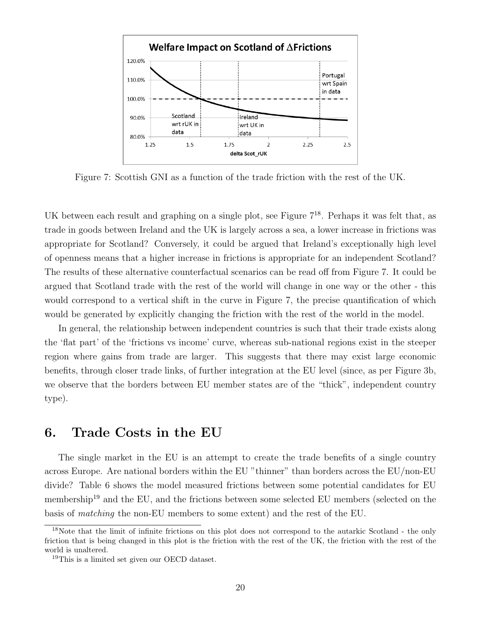<span id="page-21-1"></span>

Figure 7: Scottish GNI as a function of the trade friction with the rest of the UK.

UK between each result and graphing on a single plot, see Figure  $7^{18}$  $7^{18}$  $7^{18}$  $7^{18}$ . Perhaps it was felt that, as trade in goods between Ireland and the UK is largely across a sea, a lower increase in frictions was appropriate for Scotland? Conversely, it could be argued that Ireland's exceptionally high level of openness means that a higher increase in frictions is appropriate for an independent Scotland? The results of these alternative counterfactual scenarios can be read off from Figure [7.](#page-21-1) It could be argued that Scotland trade with the rest of the world will change in one way or the other - this would correspond to a vertical shift in the curve in Figure [7,](#page-21-1) the precise quantification of which would be generated by explicitly changing the friction with the rest of the world in the model.

In general, the relationship between independent countries is such that their trade exists along the 'flat part' of the 'frictions vs income' curve, whereas sub-national regions exist in the steeper region where gains from trade are larger. This suggests that there may exist large economic benefits, through closer trade links, of further integration at the EU level (since, as per Figure [3b,](#page-13-0) we observe that the borders between EU member states are of the "thick", independent country type).

### <span id="page-21-0"></span>6. Trade Costs in the EU

The single market in the EU is an attempt to create the trade benefits of a single country across Europe. Are national borders within the EU "thinner" than borders across the EU/non-EU divide? Table [6](#page-22-0) shows the model measured frictions between some potential candidates for EU membership<sup>[19](#page-21-3)</sup> and the EU, and the frictions between some selected EU members (selected on the basis of matching the non-EU members to some extent) and the rest of the EU.

<span id="page-21-2"></span><sup>&</sup>lt;sup>18</sup>Note that the limit of infinite frictions on this plot does not correspond to the autarkic Scotland - the only friction that is being changed in this plot is the friction with the rest of the UK, the friction with the rest of the world is unaltered.

<span id="page-21-3"></span><sup>19</sup>This is a limited set given our OECD dataset.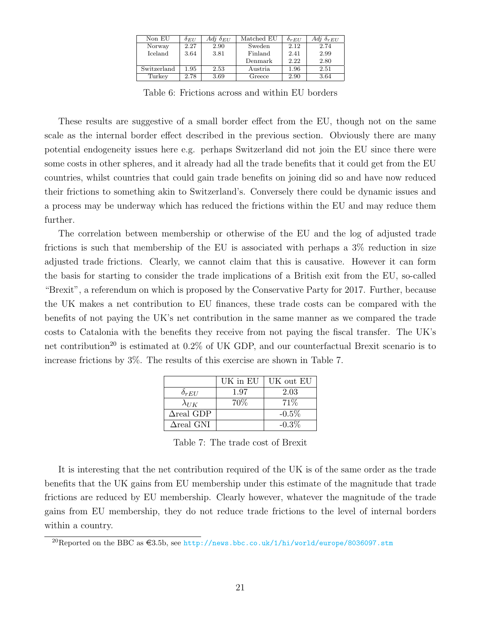| Non EU      | $\delta_{EU}$ | Adj $\delta_{EU}$ | Matched EU | $\delta_{rEI}$ | Adj $\delta_{rEII}$ |
|-------------|---------------|-------------------|------------|----------------|---------------------|
| Norway      | 2.27          | 2.90              | Sweden     | 2.12           | 2.74                |
| Iceland     | 3.64          | 3.81              | Finland    | 2.41           | 2.99                |
|             |               |                   | Denmark    | 2.22           | 2.80                |
| Switzerland | 1.95          | 2.53              | Austria    | 1.96           | 2.51                |
| Turkey      | 2.78          | 3.69              | Greece     | 2.90           | 3.64                |

Table 6: Frictions across and within EU borders

<span id="page-22-0"></span>These results are suggestive of a small border effect from the EU, though not on the same scale as the internal border effect described in the previous section. Obviously there are many potential endogeneity issues here e.g. perhaps Switzerland did not join the EU since there were some costs in other spheres, and it already had all the trade benefits that it could get from the EU countries, whilst countries that could gain trade benefits on joining did so and have now reduced their frictions to something akin to Switzerland's. Conversely there could be dynamic issues and a process may be underway which has reduced the frictions within the EU and may reduce them further.

The correlation between membership or otherwise of the EU and the log of adjusted trade frictions is such that membership of the EU is associated with perhaps a 3% reduction in size adjusted trade frictions. Clearly, we cannot claim that this is causative. However it can form the basis for starting to consider the trade implications of a British exit from the EU, so-called "Brexit", a referendum on which is proposed by the Conservative Party for 2017. Further, because the UK makes a net contribution to EU finances, these trade costs can be compared with the benefits of not paying the UK's net contribution in the same manner as we compared the trade costs to Catalonia with the benefits they receive from not paying the fiscal transfer. The UK's net contribution<sup>[20](#page-22-1)</sup> is estimated at  $0.2\%$  of UK GDP, and our counterfactual Brexit scenario is to increase frictions by 3%. The results of this exercise are shown in Table [7.](#page-22-2)

|                          | UK in EU | UK out EU |
|--------------------------|----------|-----------|
| $\delta_{rEU}$           | 1.97     | 2.03      |
| $\lambda_{UK}$           | 70\%     | $71\%$    |
| $\Delta$ real GDP        |          | $-0.5\%$  |
| $\Delta \text{real}$ GNI |          | $-0.3\%$  |

Table 7: The trade cost of Brexit

<span id="page-22-2"></span>It is interesting that the net contribution required of the UK is of the same order as the trade benefits that the UK gains from EU membership under this estimate of the magnitude that trade frictions are reduced by EU membership. Clearly however, whatever the magnitude of the trade gains from EU membership, they do not reduce trade frictions to the level of internal borders within a country.

<span id="page-22-1"></span><sup>&</sup>lt;sup>20</sup>Reported on the BBC as  $\text{£3.5b}$ , see <http://news.bbc.co.uk/1/hi/world/europe/8036097.stm>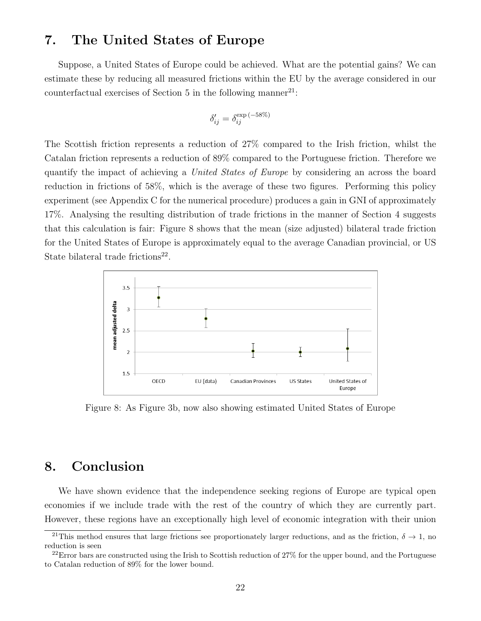### <span id="page-23-0"></span>7. The United States of Europe

Suppose, a United States of Europe could be achieved. What are the potential gains? We can estimate these by reducing all measured frictions within the EU by the average considered in our counterfactual exercises of Section [5](#page-14-0) in the following manner<sup>[21](#page-23-2)</sup>:

$$
\delta'_{ij} = \delta_{ij}^{\exp(-58\%)}
$$

The Scottish friction represents a reduction of 27% compared to the Irish friction, whilst the Catalan friction represents a reduction of 89% compared to the Portuguese friction. Therefore we quantify the impact of achieving a United States of Europe by considering an across the board reduction in frictions of 58%, which is the average of these two figures. Performing this policy experiment (see Appendix [C](#page-37-0) for the numerical procedure) produces a gain in GNI of approximately 17%. Analysing the resulting distribution of trade frictions in the manner of Section [4](#page-10-0) suggests that this calculation is fair: Figure [8](#page-23-3) shows that the mean (size adjusted) bilateral trade friction for the United States of Europe is approximately equal to the average Canadian provincial, or US State bilateral trade frictions<sup>[22](#page-23-4)</sup>.

<span id="page-23-3"></span>

Figure 8: As Figure [3b,](#page-13-0) now also showing estimated United States of Europe

### <span id="page-23-1"></span>8. Conclusion

We have shown evidence that the independence seeking regions of Europe are typical open economies if we include trade with the rest of the country of which they are currently part. However, these regions have an exceptionally high level of economic integration with their union

<span id="page-23-2"></span><sup>&</sup>lt;sup>21</sup>This method ensures that large frictions see proportionately larger reductions, and as the friction,  $\delta \to 1$ , no reduction is seen

<span id="page-23-4"></span> $^{22}$ Error bars are constructed using the Irish to Scottish reduction of 27% for the upper bound, and the Portuguese to Catalan reduction of 89% for the lower bound.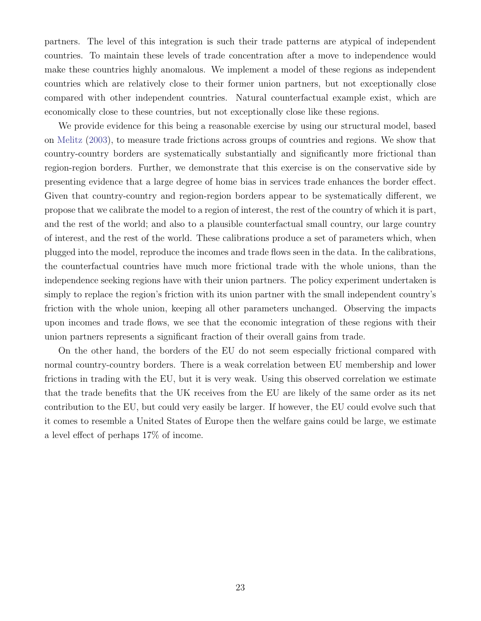partners. The level of this integration is such their trade patterns are atypical of independent countries. To maintain these levels of trade concentration after a move to independence would make these countries highly anomalous. We implement a model of these regions as independent countries which are relatively close to their former union partners, but not exceptionally close compared with other independent countries. Natural counterfactual example exist, which are economically close to these countries, but not exceptionally close like these regions.

We provide evidence for this being a reasonable exercise by using our structural model, based on [Melitz](#page-25-1) [\(2003\)](#page-25-1), to measure trade frictions across groups of countries and regions. We show that country-country borders are systematically substantially and significantly more frictional than region-region borders. Further, we demonstrate that this exercise is on the conservative side by presenting evidence that a large degree of home bias in services trade enhances the border effect. Given that country-country and region-region borders appear to be systematically different, we propose that we calibrate the model to a region of interest, the rest of the country of which it is part, and the rest of the world; and also to a plausible counterfactual small country, our large country of interest, and the rest of the world. These calibrations produce a set of parameters which, when plugged into the model, reproduce the incomes and trade flows seen in the data. In the calibrations, the counterfactual countries have much more frictional trade with the whole unions, than the independence seeking regions have with their union partners. The policy experiment undertaken is simply to replace the region's friction with its union partner with the small independent country's friction with the whole union, keeping all other parameters unchanged. Observing the impacts upon incomes and trade flows, we see that the economic integration of these regions with their union partners represents a significant fraction of their overall gains from trade.

On the other hand, the borders of the EU do not seem especially frictional compared with normal country-country borders. There is a weak correlation between EU membership and lower frictions in trading with the EU, but it is very weak. Using this observed correlation we estimate that the trade benefits that the UK receives from the EU are likely of the same order as its net contribution to the EU, but could very easily be larger. If however, the EU could evolve such that it comes to resemble a United States of Europe then the welfare gains could be large, we estimate a level effect of perhaps 17% of income.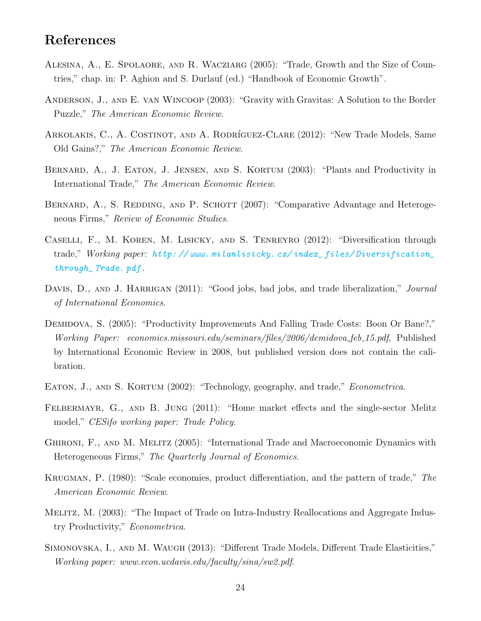### References

- <span id="page-25-4"></span>Alesina, A., E. Spolaore, and R. Wacziarg (2005): "Trade, Growth and the Size of Countries," chap. in: P. Aghion and S. Durlauf (ed.) "Handbook of Economic Growth".
- <span id="page-25-0"></span>Anderson, J., and E. van Wincoop (2003): "Gravity with Gravitas: A Solution to the Border Puzzle," The American Economic Review.
- <span id="page-25-2"></span>ARKOLAKIS, C., A. COSTINOT, AND A. RODRÍGUEZ-CLARE (2012): "New Trade Models, Same Old Gains?," The American Economic Review.
- <span id="page-25-6"></span>Bernard, A., J. Eaton, J. Jensen, and S. Kortum (2003): "Plants and Productivity in International Trade," The American Economic Review.
- <span id="page-25-9"></span>BERNARD, A., S. REDDING, AND P. SCHOTT (2007): "Comparative Advantage and Heterogeneous Firms," Review of Economic Studies.
- <span id="page-25-13"></span>Caselli, F., M. Koren, M. Lisicky, and S. Tenreyro (2012): "Diversification through trade," Working paper: [http: // www. milanlisicky. cz/ index\\_ files/ Diversification\\_](http://www.milanlisicky.cz/index_files/Diversification_through_Trade.pdf) [through\\_ Trade. pdf](http://www.milanlisicky.cz/index_files/Diversification_through_Trade.pdf) .
- <span id="page-25-8"></span>DAVIS, D., AND J. HARRIGAN (2011): "Good jobs, bad jobs, and trade liberalization," Journal of International Economics.
- <span id="page-25-10"></span>DEMIDOVA, S. (2005): "Productivity Improvements And Falling Trade Costs: Boon Or Bane?," Working Paper: economics.missouri.edu/seminars/files/2006/demidova\_feb\_15.pdf, Published by International Economic Review in 2008, but published version does not contain the calibration.
- <span id="page-25-5"></span>EATON, J., AND S. KORTUM (2002): "Technology, geography, and trade," *Econometrica*.
- <span id="page-25-11"></span>FELBERMAYR, G., AND B. JUNG (2011): "Home market effects and the single-sector Melitz model," CESifo working paper: Trade Policy.
- <span id="page-25-7"></span>Ghironi, F., and M. Melitz (2005): "International Trade and Macroeconomic Dynamics with Heterogeneous Firms," The Quarterly Journal of Economics.
- <span id="page-25-3"></span>Krugman, P. (1980): "Scale economies, product differentiation, and the pattern of trade," The American Economic Review.
- <span id="page-25-1"></span>Melitz, M. (2003): "The Impact of Trade on Intra-Industry Reallocations and Aggregate Industry Productivity," Econometrica.
- <span id="page-25-12"></span>Simonovska, I., and M. Waugh (2013): "Different Trade Models, Different Trade Elasticities," Working paper: www.econ.ucdavis.edu/faculty/sina/sw2.pdf.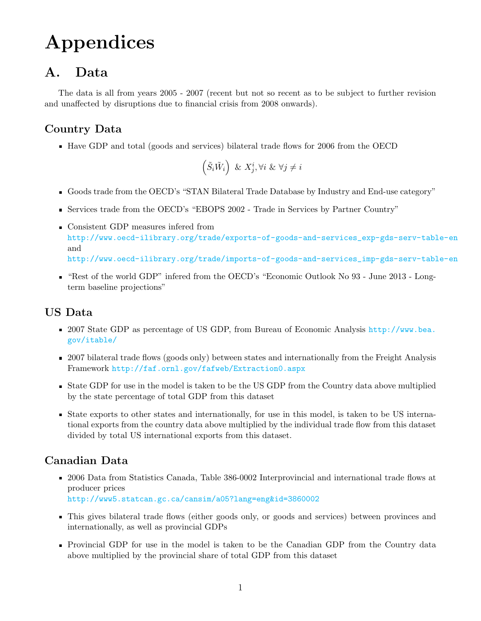# Appendices

### <span id="page-26-0"></span>A. Data

The data is all from years 2005 - 2007 (recent but not so recent as to be subject to further revision and unaffected by disruptions due to financial crisis from 2008 onwards).

### Country Data

Have GDP and total (goods and services) bilateral trade flows for 2006 from the OECD

$$
\left(\tilde{S}_i\tilde{W}_i\right) \ \& \ X^i_j, \forall i \ \& \ \forall j \neq i
$$

- Goods trade from the OECD's "STAN Bilateral Trade Database by Industry and End-use category"
- Services trade from the OECD's "EBOPS 2002 Trade in Services by Partner Country"
- Consistent GDP measures infered from [http://www.oecd-ilibrary.org/trade/exports-of-goods-and-services\\_exp-gds-serv-table-en](http://www.oecd-ilibrary.org/trade/exports-of-goods-and-services_exp-gds-serv-table-en) and [http://www.oecd-ilibrary.org/trade/imports-of-goods-and-services\\_imp-gds-serv-table-en](http://www.oecd-ilibrary.org/trade/imports-of-goods-and-services_imp-gds-serv-table-en)
- "Rest of the world GDP" infered from the OECD's "Economic Outlook No 93 June 2013 Longterm baseline projections"

### US Data

- 2007 State GDP as percentage of US GDP, from Bureau of Economic Analysis [http://www.bea.](http://www.bea.gov/itable/) [gov/itable/](http://www.bea.gov/itable/)
- 2007 bilateral trade flows (goods only) between states and internationally from the Freight Analysis Framework <http://faf.ornl.gov/fafweb/Extraction0.aspx>
- State GDP for use in the model is taken to be the US GDP from the Country data above multiplied by the state percentage of total GDP from this dataset
- State exports to other states and internationally, for use in this model, is taken to be US international exports from the country data above multiplied by the individual trade flow from this dataset divided by total US international exports from this dataset.

### Canadian Data

- 2006 Data from Statistics Canada, Table 386-0002 Interprovincial and international trade flows at producer prices <http://www5.statcan.gc.ca/cansim/a05?lang=eng&id=3860002>
- This gives bilateral trade flows (either goods only, or goods and services) between provinces and internationally, as well as provincial GDPs
- Provincial GDP for use in the model is taken to be the Canadian GDP from the Country data above multiplied by the provincial share of total GDP from this dataset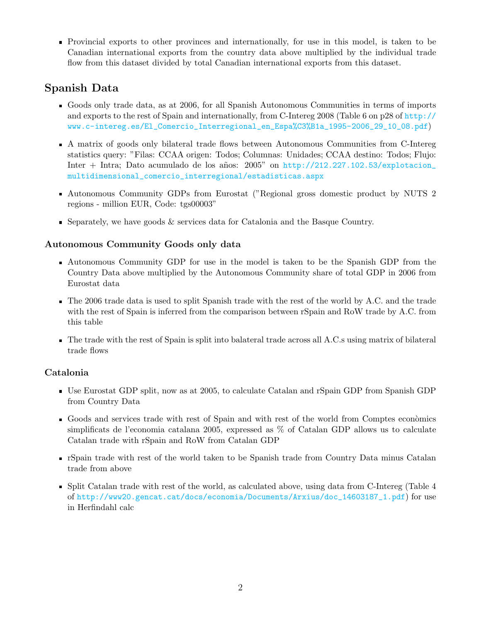Provincial exports to other provinces and internationally, for use in this model, is taken to be Canadian international exports from the country data above multiplied by the individual trade flow from this dataset divided by total Canadian international exports from this dataset.

### Spanish Data

- Goods only trade data, as at 2006, for all Spanish Autonomous Communities in terms of imports and exports to the rest of Spain and internationally, from C-Intereg 2008 (Table 6 on p28 of [http://](http://www.c-intereg.es/El_Comercio_Interregional_en_Espa%C3%B1a_1995-2006_29_10_08.pdf) [www.c-intereg.es/El\\_Comercio\\_Interregional\\_en\\_Espa%C3%B1a\\_1995-2006\\_29\\_10\\_08.pdf](http://www.c-intereg.es/El_Comercio_Interregional_en_Espa%C3%B1a_1995-2006_29_10_08.pdf))
- A matrix of goods only bilateral trade flows between Autonomous Communities from C-Intereg statistics query: "Filas: CCAA origen: Todos; Columnas: Unidades; CCAA destino: Todos; Flujo: Inter + Intra; Dato acumulado de los años:  $2005$ " on [http://212.227.102.53/explotacion\\_](http://212.227.102.53/explotacion_multidimensional_comercio_interregional/estadisticas.aspx) [multidimensional\\_comercio\\_interregional/estadisticas.aspx](http://212.227.102.53/explotacion_multidimensional_comercio_interregional/estadisticas.aspx)
- Autonomous Community GDPs from Eurostat ("Regional gross domestic product by NUTS 2 regions - million EUR, Code: tgs00003"
- Separately, we have goods & services data for Catalonia and the Basque Country.

#### Autonomous Community Goods only data

- Autonomous Community GDP for use in the model is taken to be the Spanish GDP from the Country Data above multiplied by the Autonomous Community share of total GDP in 2006 from Eurostat data
- The 2006 trade data is used to split Spanish trade with the rest of the world by A.C. and the trade with the rest of Spain is inferred from the comparison between rSpain and RoW trade by A.C. from this table
- The trade with the rest of Spain is split into balateral trade across all A.C.s using matrix of bilateral trade flows

#### Catalonia

- Use Eurostat GDP split, now as at 2005, to calculate Catalan and rSpain GDP from Spanish GDP from Country Data
- Goods and services trade with rest of Spain and with rest of the world from Comptes econòmics simplificats de l'economia catalana 2005, expressed as % of Catalan GDP allows us to calculate Catalan trade with rSpain and RoW from Catalan GDP
- rSpain trade with rest of the world taken to be Spanish trade from Country Data minus Catalan trade from above
- Split Catalan trade with rest of the world, as calculated above, using data from C-Intereg (Table 4 of [http://www20.gencat.cat/docs/economia/Documents/Arxius/doc\\_14603187\\_1.pdf](http://www20.gencat.cat/docs/economia/Documents/Arxius/doc_14603187_1.pdf)) for use in Herfindahl calc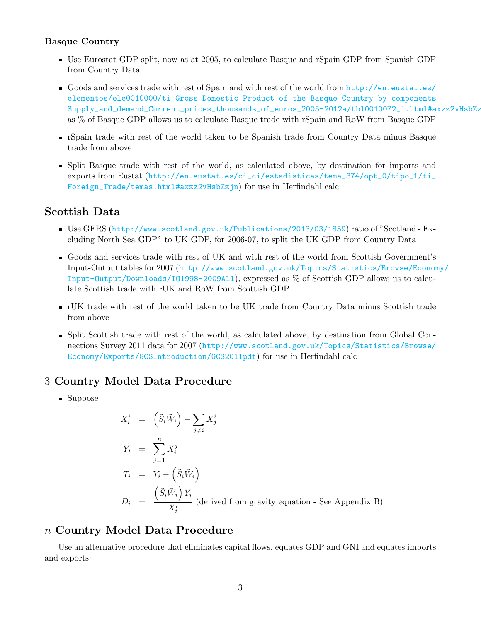#### Basque Country

- Use Eurostat GDP split, now as at 2005, to calculate Basque and rSpain GDP from Spanish GDP from Country Data
- Goods and services trade with rest of Spain and with rest of the world from [http://en.eustat.es/](http://en.eustat.es/elementos/ele0010000/ti_Gross_Domestic_Product_of_the_Basque_Country_by_components_Supply_and_demand_Current_prices_thousands_of_euros_2005-2012a/tbl0010072_i.html#axzz2vHsbZzjnexpressed) [elementos/ele0010000/ti\\_Gross\\_Domestic\\_Product\\_of\\_the\\_Basque\\_Country\\_by\\_components\\_](http://en.eustat.es/elementos/ele0010000/ti_Gross_Domestic_Product_of_the_Basque_Country_by_components_Supply_and_demand_Current_prices_thousands_of_euros_2005-2012a/tbl0010072_i.html#axzz2vHsbZzjnexpressed) Supply\_and\_demand\_Current\_prices\_thousands\_of\_euros\_2005-2012a/tbl0010072\_i.html#axzz2vHsbZz as % of Basque GDP allows us to calculate Basque trade with rSpain and RoW from Basque GDP
- rSpain trade with rest of the world taken to be Spanish trade from Country Data minus Basque trade from above
- Split Basque trade with rest of the world, as calculated above, by destination for imports and exports from Eustat ([http://en.eustat.es/ci\\_ci/estadisticas/tema\\_374/opt\\_0/tipo\\_1/ti\\_](http://en.eustat.es/ci_ci/estadisticas/tema_374/opt_0/tipo_1/ti_Foreign_Trade/temas.html#axzz2vHsbZzjn) [Foreign\\_Trade/temas.html#axzz2vHsbZzjn](http://en.eustat.es/ci_ci/estadisticas/tema_374/opt_0/tipo_1/ti_Foreign_Trade/temas.html#axzz2vHsbZzjn)) for use in Herfindahl calc

#### Scottish Data

- Use GERS (<http://www.scotland.gov.uk/Publications/2013/03/1859>) ratio of "Scotland Excluding North Sea GDP" to UK GDP, for 2006-07, to split the UK GDP from Country Data
- Goods and services trade with rest of UK and with rest of the world from Scottish Government's Input-Output tables for 2007 ([http://www.scotland.gov.uk/Topics/Statistics/Browse/Econom](http://www.scotland.gov.uk/Topics/Statistics/Browse/Economy/Input-Output/Downloads/IO1998-2009All)y/ [Input-Output/Downloads/IO1998-2009All](http://www.scotland.gov.uk/Topics/Statistics/Browse/Economy/Input-Output/Downloads/IO1998-2009All)), expressed as % of Scottish GDP allows us to calculate Scottish trade with rUK and RoW from Scottish GDP
- rUK trade with rest of the world taken to be UK trade from Country Data minus Scottish trade from above
- Split Scottish trade with rest of the world, as calculated above, by destination from Global Connections Survey 2011 data for 2007 ([http://www.scotland.gov.uk/Topics/Statistics/Browse/](http://www.scotland.gov.uk/Topics/Statistics/Browse/Economy/Exports/GCSIntroduction/GCS2011pdf) [Economy/Exports/GCSIntroduction/GCS2011pdf](http://www.scotland.gov.uk/Topics/Statistics/Browse/Economy/Exports/GCSIntroduction/GCS2011pdf)) for use in Herfindahl calc

#### 3 Country Model Data Procedure

■ Suppose

$$
X_i^i = (\tilde{S}_i \tilde{W}_i) - \sum_{j \neq i} X_j^i
$$
  
\n
$$
Y_i = \sum_{j=1}^n X_i^j
$$
  
\n
$$
T_i = Y_i - (\tilde{S}_i \tilde{W}_i)
$$
  
\n
$$
D_i = \frac{(\tilde{S}_i \tilde{W}_i) Y_i}{X_i^i}
$$
 (derived from gravity equation - See Appendix B)

#### n Country Model Data Procedure

Use an alternative procedure that eliminates capital flows, equates GDP and GNI and equates imports and exports: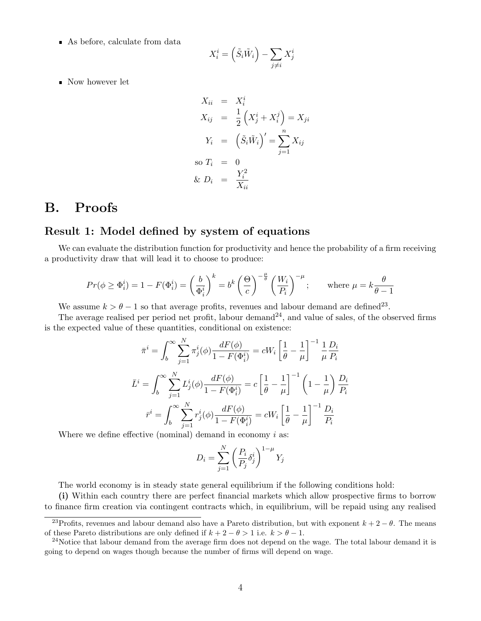As before, calculate from data

$$
X_i^i = \left(\tilde{S}_i \tilde{W}_i\right) - \sum_{j \neq i} X_j^i
$$

Now however let

$$
X_{ii} = X_i^i
$$
  
\n
$$
X_{ij} = \frac{1}{2} (X_j^i + X_i^j) = X_{ji}
$$
  
\n
$$
Y_i = (\tilde{S}_i \tilde{W}_i)' = \sum_{j=1}^n X_{ij}
$$
  
\nso  $T_i = 0$   
\n&  $D_i = \frac{Y_i^2}{X_{ii}}$ 

### <span id="page-29-0"></span>B. Proofs

#### Result 1: Model defined by system of equations

We can evaluate the distribution function for productivity and hence the probability of a firm receiving a productivity draw that will lead it to choose to produce:

$$
Pr(\phi \ge \Phi_i^i) = 1 - F(\Phi_i^i) = \left(\frac{b}{\Phi_i^i}\right)^k = b^k \left(\frac{\Theta}{c}\right)^{-\frac{\mu}{\theta}} \left(\frac{W_i}{P_i}\right)^{-\mu}; \quad \text{where } \mu = k \frac{\theta}{\theta - 1}
$$

We assume  $k > \theta - 1$  so that average profits, revenues and labour demand are defined<sup>[23](#page-29-1)</sup>.

The average realised per period net profit, labour demand<sup>[24](#page-29-2)</sup>, and value of sales, of the observed firms is the expected value of these quantities, conditional on existence:

$$
\bar{\pi}^{i} = \int_{b}^{\infty} \sum_{j=1}^{N} \pi_{j}^{i}(\phi) \frac{dF(\phi)}{1 - F(\Phi_{i}^{i})} = cW_{i} \left[ \frac{1}{\theta} - \frac{1}{\mu} \right]^{-1} \frac{1}{\mu} \frac{D_{i}}{P_{i}}
$$
  

$$
\bar{L}^{i} = \int_{b}^{\infty} \sum_{j=1}^{N} L_{j}^{i}(\phi) \frac{dF(\phi)}{1 - F(\Phi_{i}^{i})} = c \left[ \frac{1}{\theta} - \frac{1}{\mu} \right]^{-1} \left( 1 - \frac{1}{\mu} \right) \frac{D_{i}}{P_{i}}
$$
  

$$
\bar{r}^{i} = \int_{b}^{\infty} \sum_{j=1}^{N} r_{j}^{i}(\phi) \frac{dF(\phi)}{1 - F(\Phi_{i}^{i})} = cW_{i} \left[ \frac{1}{\theta} - \frac{1}{\mu} \right]^{-1} \frac{D_{i}}{P_{i}}
$$

Where we define effective (nominal) demand in economy  $i$  as:

$$
D_i = \sum_{j=1}^{N} \left(\frac{P_i}{P_j} \delta_j^i\right)^{1-\mu} Y_j
$$

The world economy is in steady state general equilibrium if the following conditions hold:

(i) Within each country there are perfect financial markets which allow prospective firms to borrow to finance firm creation via contingent contracts which, in equilibrium, will be repaid using any realised

<span id="page-29-1"></span><sup>&</sup>lt;sup>23</sup>Profits, revenues and labour demand also have a Pareto distribution, but with exponent  $k + 2 - \theta$ . The means of these Pareto distributions are only defined if  $k + 2 - \theta > 1$  i.e.  $k > \theta - 1$ .

<span id="page-29-2"></span> $^{24}$ Notice that labour demand from the average firm does not depend on the wage. The total labour demand it is going to depend on wages though because the number of firms will depend on wage.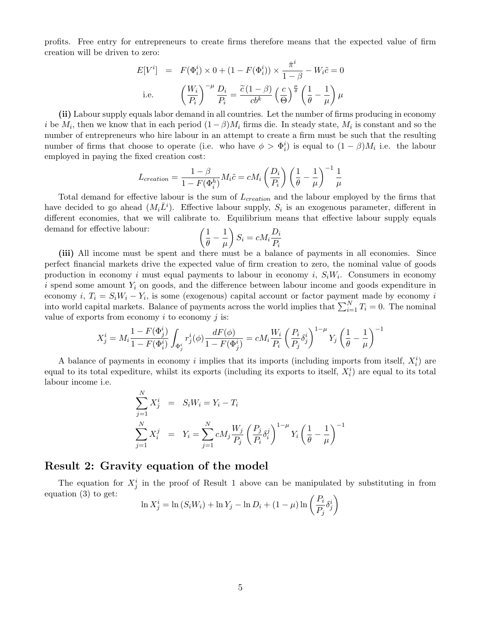profits. Free entry for entrepreneurs to create firms therefore means that the expected value of firm creation will be driven to zero:

$$
E[V^i] = F(\Phi_i^i) \times 0 + (1 - F(\Phi_i^i)) \times \frac{\bar{\pi}^i}{1 - \beta} - W_i \tilde{c} = 0
$$
  
i.e. 
$$
\left(\frac{W_i}{P_i}\right)^{-\mu} \frac{D_i}{P_i} = \frac{\tilde{c}(1 - \beta)}{cb^k} \left(\frac{c}{\Theta}\right)^{\frac{\mu}{\theta}} \left(\frac{1}{\theta} - \frac{1}{\mu}\right) \mu
$$

(ii) Labour supply equals labor demand in all countries. Let the number of firms producing in economy i be  $M_i$ , then we know that in each period  $(1-\beta)M_i$  firms die. In steady state,  $M_i$  is constant and so the number of entrepreneurs who hire labour in an attempt to create a firm must be such that the resulting number of firms that choose to operate (i.e. who have  $\phi > \Phi_i^i$ ) is equal to  $(1 - \beta)M_i$  i.e. the labour employed in paying the fixed creation cost:

$$
L_{creation} = \frac{1 - \beta}{1 - F(\Phi_i^h)} M_i \tilde{c} = c M_i \left(\frac{D_i}{P_i}\right) \left(\frac{1}{\theta} - \frac{1}{\mu}\right)^{-1} \frac{1}{\mu}
$$

Total demand for effective labour is the sum of  $L_{creation}$  and the labour employed by the firms that have decided to go ahead  $(M_i\overline{L}^i)$ . Effective labour supply,  $S_i$  is an exogenous parameter, different in different economies, that we will calibrate to. Equilibrium means that effective labour supply equals demand for effective labour:

$$
\left(\frac{1}{\theta} - \frac{1}{\mu}\right) S_i = c M_i \frac{D_i}{P_i}
$$

(iii) All income must be spent and there must be a balance of payments in all economies. Since perfect financial markets drive the expected value of firm creation to zero, the nominal value of goods production in economy i must equal payments to labour in economy i,  $S_iW_i$ . Consumers in economy i spend some amount  $Y_i$  on goods, and the difference between labour income and goods expenditure in economy  $i, T_i = S_i W_i - Y_i$ , is some (exogenous) capital account or factor payment made by economy i into world capital markets. Balance of payments across the world implies that  $\sum_{i=1}^{N} T_i = 0$ . The nominal value of exports from economy  $i$  to economy  $j$  is:

$$
X^i_j=M_i\frac{1-F(\Phi^i_j)}{1-F(\Phi^i_i)}\int_{\Phi^i_j}r^i_j(\phi)\frac{dF(\phi)}{1-F(\Phi^i_j)}=cM_i\frac{W_i}{P_i}\left(\frac{P_i}{P_j}\delta^i_j\right)^{1-\mu}Y_j\left(\frac{1}{\theta}-\frac{1}{\mu}\right)^{-1}
$$

A balance of payments in economy i implies that its imports (including imports from itself,  $X_i^i$ ) are equal to its total expediture, whilst its exports (including its exports to itself,  $X_i^i$ ) are equal to its total labour income i.e.

$$
\sum_{j=1}^{N} X_j^i = S_i W_i = Y_i - T_i
$$
\n
$$
\sum_{j=1}^{N} X_i^j = Y_i = \sum_{j=1}^{N} c M_j \frac{W_j}{P_j} \left(\frac{P_j}{P_i} \delta_i^j\right)^{1-\mu} Y_i \left(\frac{1}{\theta} - \frac{1}{\mu}\right)^{-1}
$$

#### Result 2: Gravity equation of the model

The equation for  $X_j^i$  in the proof of Result 1 above can be manipulated by substituting in from equation [\(3\)](#page-8-0) to get:

$$
\ln X_j^i = \ln (S_i W_i) + \ln Y_j - \ln D_i + (1 - \mu) \ln \left( \frac{P_i}{P_j} \delta_j^i \right)
$$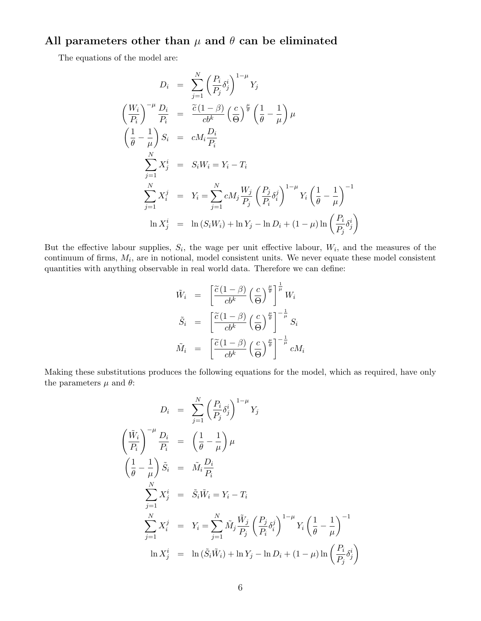### All parameters other than  $\mu$  and  $\theta$  can be eliminated

The equations of the model are:

$$
D_i = \sum_{j=1}^{N} \left(\frac{P_i}{P_j} \delta_j^i\right)^{1-\mu} Y_j
$$
  
\n
$$
\left(\frac{W_i}{P_i}\right)^{-\mu} \frac{D_i}{P_i} = \frac{\tilde{c}(1-\beta)}{cb^k} \left(\frac{c}{\theta}\right)^{\frac{\mu}{\theta}} \left(\frac{1}{\theta} - \frac{1}{\mu}\right) \mu
$$
  
\n
$$
\left(\frac{1}{\theta} - \frac{1}{\mu}\right) S_i = cM_i \frac{D_i}{P_i}
$$
  
\n
$$
\sum_{j=1}^{N} X_j^i = S_i W_i = Y_i - T_i
$$
  
\n
$$
\sum_{j=1}^{N} X_i^j = Y_i = \sum_{j=1}^{N} cM_j \frac{W_j}{P_j} \left(\frac{P_j}{P_i} \delta_i^j\right)^{1-\mu} Y_i \left(\frac{1}{\theta} - \frac{1}{\mu}\right)^{-1}
$$
  
\n
$$
\ln X_j^i = \ln (S_i W_i) + \ln Y_j - \ln D_i + (1 - \mu) \ln \left(\frac{P_i}{P_j} \delta_j^i\right)
$$

But the effective labour supplies,  $S_i$ , the wage per unit effective labour,  $W_i$ , and the measures of the continuum of firms,  $M_i$ , are in notional, model consistent units. We never equate these model consistent quantities with anything observable in real world data. Therefore we can define:

$$
\tilde{W}_i = \left[ \frac{\tilde{c}(1-\beta)}{cb^k} \left( \frac{c}{\Theta} \right)^{\frac{\mu}{\theta}} \right]^{\frac{1}{\mu}} W_i
$$
\n
$$
\tilde{S}_i = \left[ \frac{\tilde{c}(1-\beta)}{cb^k} \left( \frac{c}{\Theta} \right)^{\frac{\mu}{\theta}} \right]^{-\frac{1}{\mu}} S_i
$$
\n
$$
\tilde{M}_i = \left[ \frac{\tilde{c}(1-\beta)}{cb^k} \left( \frac{c}{\Theta} \right)^{\frac{\mu}{\theta}} \right]^{-\frac{1}{\mu}} c M_i
$$

Making these substitutions produces the following equations for the model, which as required, have only the parameters  $\mu$  and  $\theta$ :

$$
D_i = \sum_{j=1}^N \left(\frac{P_i}{P_j} \delta_j^i\right)^{1-\mu} Y_j
$$
  

$$
\left(\frac{\tilde{W}_i}{P_i}\right)^{-\mu} \frac{D_i}{P_i} = \left(\frac{1}{\theta} - \frac{1}{\mu}\right) \mu
$$
  

$$
\left(\frac{1}{\theta} - \frac{1}{\mu}\right) \tilde{S}_i = \tilde{M}_i \frac{D_i}{P_i}
$$
  

$$
\sum_{j=1}^N X_j^i = \tilde{S}_i \tilde{W}_i = Y_i - T_i
$$
  

$$
\sum_{j=1}^N X_i^j = Y_i = \sum_{j=1}^N \tilde{M}_j \frac{\tilde{W}_j}{P_j} \left(\frac{P_j}{P_i} \delta_i^j\right)^{1-\mu} Y_i \left(\frac{1}{\theta} - \frac{1}{\mu}\right)^{-1}
$$
  

$$
\ln X_j^i = \ln(\tilde{S}_i \tilde{W}_i) + \ln Y_j - \ln D_i + (1 - \mu) \ln \left(\frac{P_i}{P_j} \delta_j^i\right)
$$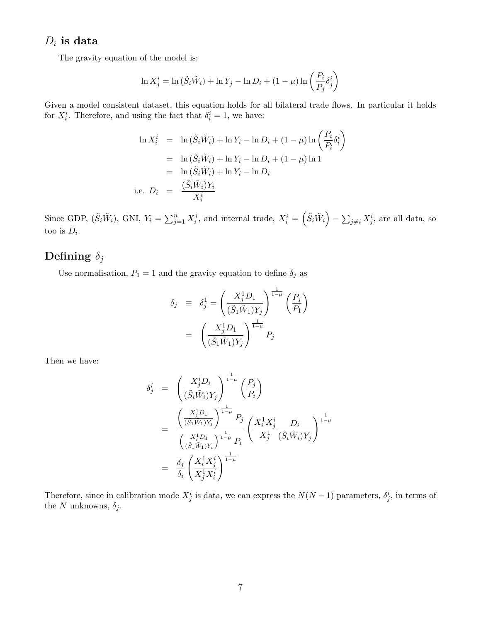#### $D_i$  is data

The gravity equation of the model is:

$$
\ln X_j^i = \ln \left( \tilde{S}_i \tilde{W}_i \right) + \ln Y_j - \ln D_i + (1 - \mu) \ln \left( \frac{P_i}{P_j} \delta_j^i \right)
$$

Given a model consistent dataset, this equation holds for all bilateral trade flows. In particular it holds for  $X_i^i$ . Therefore, and using the fact that  $\delta_i^i = 1$ , we have:

$$
\ln X_i^i = \ln (\tilde{S}_i \tilde{W}_i) + \ln Y_i - \ln D_i + (1 - \mu) \ln \left( \frac{P_i}{P_i} \delta_i^i \right)
$$
  
= 
$$
\ln (\tilde{S}_i \tilde{W}_i) + \ln Y_i - \ln D_i + (1 - \mu) \ln 1
$$
  
= 
$$
\ln (\tilde{S}_i \tilde{W}_i) + \ln Y_i - \ln D_i
$$
  
i.e. 
$$
D_i = \frac{(\tilde{S}_i \tilde{W}_i) Y_i}{X_i^i}
$$

Since GDP,  $(\tilde{S}_i \tilde{W}_i)$ , GNI,  $Y_i = \sum_{j=1}^n X_i^j$  $i,j$ , and internal trade,  $X_i^i = \left(\tilde{S}_i \tilde{W}_i\right) - \sum_{j\neq i} X_j^i$ , are all data, so too is  $D_i$ .

### Defining  $\delta_j$

Use normalisation,  $P_1 = 1$  and the gravity equation to define  $\delta_j$  as

$$
\delta_j \equiv \delta_j^1 = \left(\frac{X_j^1 D_1}{(\tilde{S}_1 \tilde{W}_1) Y_j}\right)^{\frac{1}{1-\mu}} \left(\frac{P_j}{P_1}\right)
$$

$$
= \left(\frac{X_j^1 D_1}{(\tilde{S}_1 \tilde{W}_1) Y_j}\right)^{\frac{1}{1-\mu}} P_j
$$

Then we have:

$$
\delta_j^i = \left(\frac{X_j^i D_i}{(\tilde{S}_i \tilde{W}_i) Y_j}\right)^{\frac{1}{1-\mu}} \left(\frac{P_j}{P_i}\right)
$$
\n
$$
= \frac{\left(\frac{X_j^1 D_1}{(\tilde{S}_1 \tilde{W}_1) Y_j}\right)^{\frac{1}{1-\mu}} P_j}{\left(\frac{X_i^1 D_1}{(\tilde{S}_1 \tilde{W}_1) Y_i}\right)^{\frac{1}{1-\mu}} P_i} \left(\frac{X_i^1 X_j^i}{X_j^1} \frac{D_i}{(\tilde{S}_i \tilde{W}_i) Y_j}\right)^{\frac{1}{1-\mu}}
$$
\n
$$
= \frac{\delta_j}{\delta_i} \left(\frac{X_i^1 X_j^i}{X_j^1 X_i^i}\right)^{\frac{1}{1-\mu}}
$$

Therefore, since in calibration mode  $X_j^i$  is data, we can express the  $N(N-1)$  parameters,  $\delta_j^i$ , in terms of the N unknowns,  $\delta_j$ .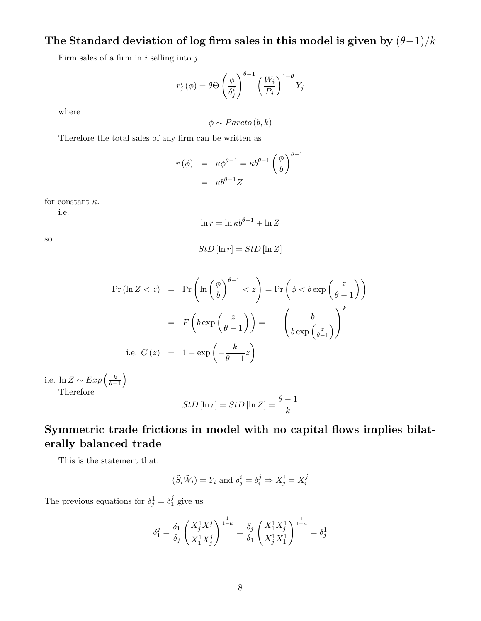### The Standard deviation of log firm sales in this model is given by  $(\theta-1)/k$

Firm sales of a firm in  $i$  selling into  $j$ 

$$
r_j^i(\phi) = \theta \Theta \left(\frac{\phi}{\delta_j^i}\right)^{\theta-1} \left(\frac{W_i}{P_j}\right)^{1-\theta} Y_j
$$

where

$$
\phi \sim Pareto(b, k)
$$

Therefore the total sales of any firm can be written as

$$
r(\phi) = \kappa \phi^{\theta - 1} = \kappa b^{\theta - 1} \left(\frac{\phi}{b}\right)^{\theta - 1}
$$

$$
= \kappa b^{\theta - 1} Z
$$

for constant  $\kappa$ .

i.e.

$$
\ln r = \ln \kappa b^{\theta - 1} + \ln Z
$$

so

$$
StD\left[\ln r\right] = StD\left[\ln Z\right]
$$

$$
\Pr(\ln Z < z) = \Pr\left(\ln\left(\frac{\phi}{b}\right)^{\theta - 1} < z\right) = \Pr\left(\phi < b \exp\left(\frac{z}{\theta - 1}\right)\right)
$$
\n
$$
= F\left(b \exp\left(\frac{z}{\theta - 1}\right)\right) = 1 - \left(\frac{b}{b \exp\left(\frac{z}{\theta - 1}\right)}\right)^k
$$
\ni.e.  $G(z) = 1 - \exp\left(-\frac{k}{\theta - 1}z\right)$ 

i.e. ln  $Z \sim Exp\left(\frac{k}{\theta-1}\right)$ Therefore

$$
StD\left[\ln r\right] = StD\left[\ln Z\right] = \frac{\theta - 1}{k}
$$

### Symmetric trade frictions in model with no capital flows implies bilaterally balanced trade

This is the statement that:

$$
(\tilde{S}_i \tilde{W}_i) = Y_i
$$
 and  $\delta^i_j = \delta^j_i \Rightarrow X^i_j = X^j_i$ 

The previous equations for  $\delta_j^1 = \delta_1^j$  $_1^j$  give us

$$
\delta_1^j = \frac{\delta_1}{\delta_j} \left( \frac{X_j^1 X_1^j}{X_1^1 X_j^j} \right)^{\frac{1}{1-\mu}} = \frac{\delta_j}{\delta_1} \left( \frac{X_1^1 X_j^1}{X_j^1 X_1^1} \right)^{\frac{1}{1-\mu}} = \delta_j^1
$$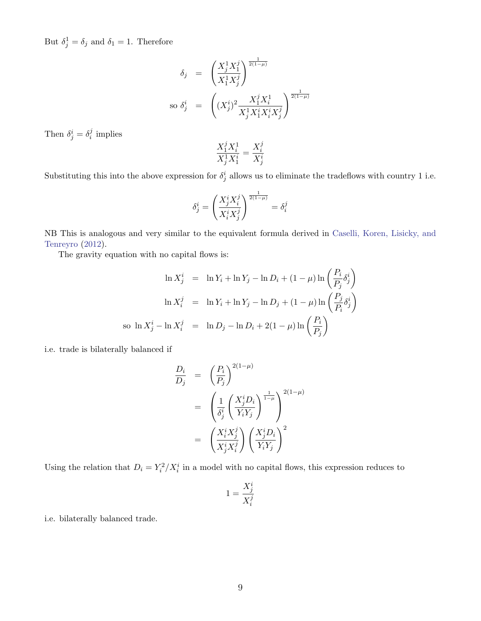But  $\delta_j^1 = \delta_j$  and  $\delta_1 = 1$ . Therefore

$$
\delta_j = \left(\frac{X_j^1 X_j^j}{X_1^1 X_j^j}\right)^{\frac{1}{2(1-\mu)}}
$$
  
so  $\delta_j^i = \left((X_j^i)^2 \frac{X_1^j X_i^1}{X_j^1 X_1^i X_i^i X_j^j}\right)^{\frac{1}{2(1-\mu)}}$ 

Then  $\delta^i_j = \delta^j_i$  $i$  implies

$$
\frac{X_1^j X_i^1}{X_j^1 X_1^i} = \frac{X_i^j}{X_j^i}
$$

Substituting this into the above expression for  $\delta^i_j$  allows us to eliminate the tradeflows with country 1 i.e.

$$
\delta^i_j = \left(\frac{X^i_j X^j_i}{X^i_i X^j_j}\right)^{\frac{1}{2(1-\mu)}} = \delta^j_i
$$

NB This is analogous and very similar to the equivalent formula derived in [Caselli, Koren, Lisicky, and](#page-25-13) [Tenreyro](#page-25-13) [\(2012\)](#page-25-13).

The gravity equation with no capital flows is:

$$
\ln X_j^i = \ln Y_i + \ln Y_j - \ln D_i + (1 - \mu) \ln \left( \frac{P_i}{P_j} \delta_j^i \right)
$$
  

$$
\ln X_i^j = \ln Y_i + \ln Y_j - \ln D_j + (1 - \mu) \ln \left( \frac{P_j}{P_i} \delta_j^i \right)
$$
  
so 
$$
\ln X_j^i - \ln X_i^j = \ln D_j - \ln D_i + 2(1 - \mu) \ln \left( \frac{P_i}{P_j} \right)
$$

i.e. trade is bilaterally balanced if

$$
\frac{D_i}{D_j} = \left(\frac{P_i}{P_j}\right)^{2(1-\mu)}
$$
\n
$$
= \left(\frac{1}{\delta_j^i} \left(\frac{X_j^i D_i}{Y_i Y_j}\right)^{\frac{1}{1-\mu}}\right)^{2(1-\mu)}
$$
\n
$$
= \left(\frac{X_i^i X_j^j}{X_j^i X_i^j}\right) \left(\frac{X_j^i D_i}{Y_i Y_j}\right)^2
$$

Using the relation that  $D_i = Y_i^2/X_i^i$  in a model with no capital flows, this expression reduces to

$$
1=\frac{X^i_j}{X^j_i}
$$

i.e. bilaterally balanced trade.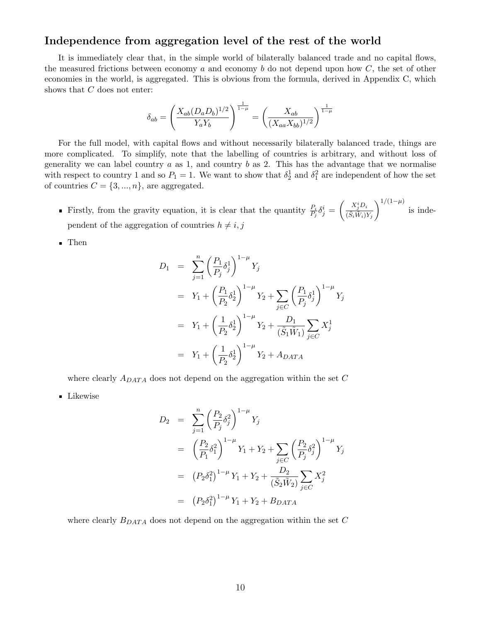#### Independence from aggregation level of the rest of the world

It is immediately clear that, in the simple world of bilaterally balanced trade and no capital flows, the measured frictions between economy  $a$  and economy  $b$  do not depend upon how  $C$ , the set of other economies in the world, is aggregated. This is obvious from the formula, derived in Appendix [C,](#page-37-0) which shows that  $C$  does not enter:

$$
\delta_{ab} = \left(\frac{X_{ab}(D_a D_b)^{1/2}}{Y_a Y_b}\right)^{\frac{1}{1-\mu}} = \left(\frac{X_{ab}}{(X_{aa} X_{bb})^{1/2}}\right)^{\frac{1}{1-\mu}}
$$

For the full model, with capital flows and without necessarily bilaterally balanced trade, things are more complicated. To simplify, note that the labelling of countries is arbitrary, and without loss of generality we can label country  $a$  as 1, and country  $b$  as 2. This has the advantage that we normalise with respect to country 1 and so  $P_1 = 1$ . We want to show that  $\delta_2^1$  and  $\delta_1^2$  are independent of how the set of countries  $C = \{3, ..., n\}$ , are aggregated.

Firstly, from the gravity equation, it is clear that the quantity  $\frac{P_i}{P_j} \delta_j^i = \left(\frac{X_j^i D_i}{(\tilde{S}_i \tilde{W}_i))}\right)$  $(\tilde{S}_i \tilde{W}_i) Y_j$  $\int_0^{1/(1-\mu)}$  is independent of the aggregation of countries  $h \neq i, j$ 

Then

$$
D_1 = \sum_{j=1}^n \left(\frac{P_1}{P_j} \delta_j^1\right)^{1-\mu} Y_j
$$
  
\n
$$
= Y_1 + \left(\frac{P_1}{P_2} \delta_2^1\right)^{1-\mu} Y_2 + \sum_{j \in C} \left(\frac{P_1}{P_j} \delta_j^1\right)^{1-\mu} Y_j
$$
  
\n
$$
= Y_1 + \left(\frac{1}{P_2} \delta_2^1\right)^{1-\mu} Y_2 + \frac{D_1}{(\tilde{S}_1 \tilde{W}_1)} \sum_{j \in C} X_j^1
$$
  
\n
$$
= Y_1 + \left(\frac{1}{P_2} \delta_2^1\right)^{1-\mu} Y_2 + A_{DATA}
$$

where clearly  $A_{DATA}$  does not depend on the aggregation within the set C

**Likewise** 

$$
D_2 = \sum_{j=1}^n \left(\frac{P_2}{P_j} \delta_j^2\right)^{1-\mu} Y_j
$$
  
\n
$$
= \left(\frac{P_2}{P_1} \delta_1^2\right)^{1-\mu} Y_1 + Y_2 + \sum_{j \in C} \left(\frac{P_2}{P_j} \delta_j^2\right)^{1-\mu} Y_j
$$
  
\n
$$
= (P_2 \delta_1^2)^{1-\mu} Y_1 + Y_2 + \frac{D_2}{(\tilde{S}_2 \tilde{W}_2)} \sum_{j \in C} X_j^2
$$
  
\n
$$
= (P_2 \delta_1^2)^{1-\mu} Y_1 + Y_2 + B_{DATA}
$$

where clearly  $\mathcal{B}_{DATA}$  does not depend on the aggregation within the set  $C$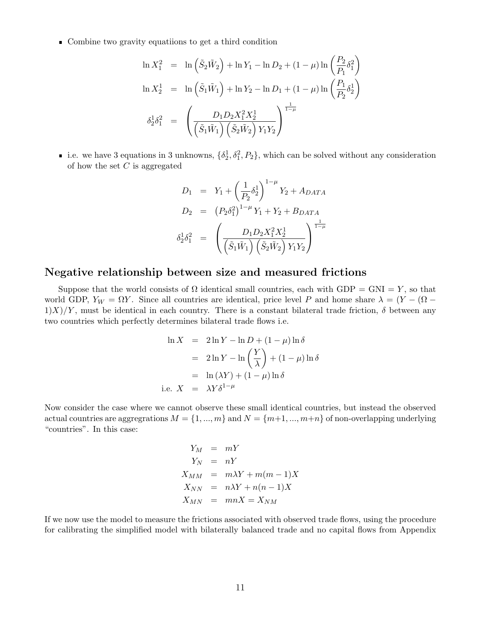Combine two gravity equatiions to get a third condition

$$
\ln X_1^2 = \ln \left( \tilde{S}_2 \tilde{W}_2 \right) + \ln Y_1 - \ln D_2 + (1 - \mu) \ln \left( \frac{P_2}{P_1} \delta_1^2 \right)
$$
  

$$
\ln X_2^1 = \ln \left( \tilde{S}_1 \tilde{W}_1 \right) + \ln Y_2 - \ln D_1 + (1 - \mu) \ln \left( \frac{P_1}{P_2} \delta_2^1 \right)
$$
  

$$
\delta_2^1 \delta_1^2 = \left( \frac{D_1 D_2 X_1^2 X_2^1}{\left( \tilde{S}_1 \tilde{W}_1 \right) \left( \tilde{S}_2 \tilde{W}_2 \right) Y_1 Y_2} \right)^{\frac{1}{1 - \mu}}
$$

i.e. we have 3 equations in 3 unknowns,  $\{\delta_2^1, \delta_1^2, P_2\}$ , which can be solved without any consideration of how the set  $C$  is aggregated

$$
D_1 = Y_1 + \left(\frac{1}{P_2}\delta_2^1\right)^{1-\mu} Y_2 + A_{DATA}
$$
  
\n
$$
D_2 = (P_2\delta_1^2)^{1-\mu} Y_1 + Y_2 + B_{DATA}
$$
  
\n
$$
\delta_2^1 \delta_1^2 = \left(\frac{D_1 D_2 X_1^2 X_2^1}{\left(\tilde{S}_1 \tilde{W}_1\right) \left(\tilde{S}_2 \tilde{W}_2\right) Y_1 Y_2}\right)^{\frac{1}{1-\mu}}
$$

#### Negative relationship between size and measured frictions

Suppose that the world consists of  $\Omega$  identical small countries, each with GDP = GNI = Y, so that world GDP,  $Y_W = \Omega Y$ . Since all countries are identical, price level P and home share  $\lambda = (Y - (\Omega 1\frac{X}{Y}$ , must be identical in each country. There is a constant bilateral trade friction,  $\delta$  between any two countries which perfectly determines bilateral trade flows i.e.

$$
\ln X = 2\ln Y - \ln D + (1 - \mu)\ln \delta
$$
  
= 2\ln Y - \ln \left(\frac{Y}{\lambda}\right) + (1 - \mu)\ln \delta  
= \ln (\lambda Y) + (1 - \mu)\ln \delta  
i.e. X = \lambda Y \delta^{1-\mu}

Now consider the case where we cannot observe these small identical countries, but instead the observed actual countries are aggregrations  $M = \{1, ..., m\}$  and  $N = \{m+1, ..., m+n\}$  of non-overlapping underlying "countries". In this case:

$$
Y_M = mY
$$
  
\n
$$
Y_N = nY
$$
  
\n
$$
X_{MM} = m\lambda Y + m(m-1)X
$$
  
\n
$$
X_{NN} = n\lambda Y + n(n-1)X
$$
  
\n
$$
X_{MN} = mnX = X_{NM}
$$

If we now use the model to measure the frictions associated with observed trade flows, using the procedure for calibrating the simplified model with bilaterally balanced trade and no capital flows from Appendix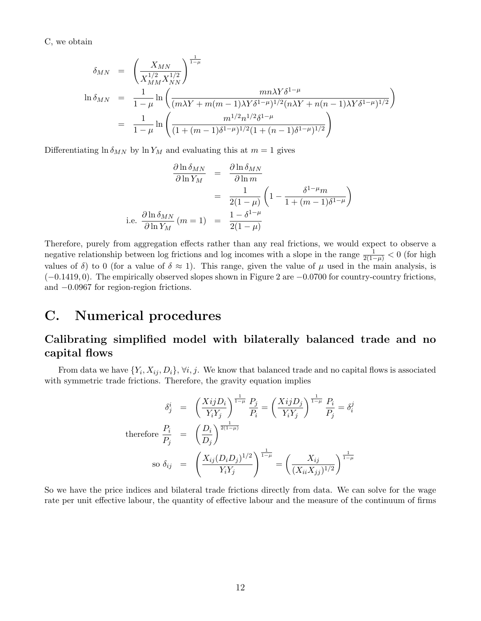[C,](#page-37-0) we obtain

$$
\delta_{MN} = \left(\frac{X_{MN}}{X_{MM}^{1/2} X_{NN}^{1/2}}\right)^{\frac{1}{1-\mu}}
$$
  
\n
$$
\ln \delta_{MN} = \frac{1}{1-\mu} \ln \left(\frac{mn\lambda Y \delta^{1-\mu}}{(m\lambda Y + m(m-1)\lambda Y \delta^{1-\mu})^{1/2} (n\lambda Y + n(n-1)\lambda Y \delta^{1-\mu})^{1/2}}\right)
$$
  
\n
$$
= \frac{1}{1-\mu} \ln \left(\frac{m^{1/2} n^{1/2} \delta^{1-\mu}}{(1+(m-1)\delta^{1-\mu})^{1/2} (1+(n-1)\delta^{1-\mu})^{1/2}}\right)
$$

Differentiating  $\ln \delta_{MN}$  by  $\ln Y_M$  and evaluating this at  $m=1$  gives

$$
\frac{\partial \ln \delta_{MN}}{\partial \ln Y_M} = \frac{\partial \ln \delta_{MN}}{\partial \ln m}
$$

$$
= \frac{1}{2(1-\mu)} \left(1 - \frac{\delta^{1-\mu}m}{1 + (m-1)\delta^{1-\mu}}\right)
$$
  
i.e. 
$$
\frac{\partial \ln \delta_{MN}}{\partial \ln Y_M} (m=1) = \frac{1 - \delta^{1-\mu}}{2(1-\mu)}
$$

Therefore, purely from aggregation effects rather than any real frictions, we would expect to observe a negative relationship between log frictions and log incomes with a slope in the range  $\frac{1}{2(1-\mu)} < 0$  (for high values of  $\delta$ ) to 0 (for a value of  $\delta \approx 1$ ). This range, given the value of  $\mu$  used in the main analysis, is  $(-0.1419, 0)$ . The empirically observed slopes shown in Figure [2](#page-11-0) are  $-0.0700$  for country-country frictions, and −0.0967 for region-region frictions.

### <span id="page-37-0"></span>C. Numerical procedures

### Calibrating simplified model with bilaterally balanced trade and no capital flows

From data we have  $\{Y_i, X_{ij}, D_i\}, \forall i, j$ . We know that balanced trade and no capital flows is associated with symmetric trade frictions. Therefore, the gravity equation implies

$$
\delta_j^i = \left(\frac{XijD_i}{Y_iY_j}\right)^{\frac{1}{1-\mu}} \frac{P_j}{P_i} = \left(\frac{XijD_j}{Y_iY_j}\right)^{\frac{1}{1-\mu}} \frac{P_i}{P_j} = \delta_i^j
$$
\n
$$
\text{therefore } \frac{P_i}{P_j} = \left(\frac{D_i}{D_j}\right)^{\frac{1}{2(1-\mu)}}
$$
\n
$$
\text{so } \delta_{ij} = \left(\frac{X_{ij}(D_iD_j)^{1/2}}{Y_iY_j}\right)^{\frac{1}{1-\mu}} = \left(\frac{X_{ij}}{(X_{ii}X_{jj})^{1/2}}\right)^{\frac{1}{1-\mu}}
$$

So we have the price indices and bilateral trade frictions directly from data. We can solve for the wage rate per unit effective labour, the quantity of effective labour and the measure of the continuum of firms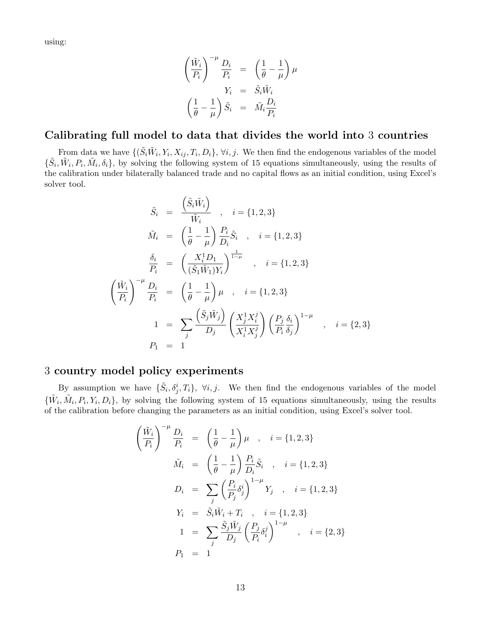using:

$$
\left(\frac{\tilde{W}_i}{P_i}\right)^{-\mu} \frac{D_i}{P_i} = \left(\frac{1}{\theta} - \frac{1}{\mu}\right) \mu
$$

$$
Y_i = \tilde{S}_i \tilde{W}_i
$$

$$
\left(\frac{1}{\theta} - \frac{1}{\mu}\right) \tilde{S}_i = \tilde{M}_i \frac{D_i}{P_i}
$$

#### Calibrating full model to data that divides the world into 3 countries

From data we have  $\{(\tilde{S}_i \tilde{W}_i, Y_i, X_{ij}, T_i, D_i\}, \forall i, j$ . We then find the endogenous variables of the model  $\{\tilde{S}_i, \tilde{W}_i, P_i, \tilde{M}_i, \delta_i\}$ , by solving the following system of 15 equations simultaneously, using the results of the calibration under bilaterally balanced trade and no capital flows as an initial condition, using Excel's solver tool.

$$
\tilde{S}_{i} = \frac{\left(\tilde{S}_{i}\tilde{W}_{i}\right)}{\tilde{W}_{i}}, \quad i = \{1, 2, 3\}
$$
\n
$$
\tilde{M}_{i} = \left(\frac{1}{\theta} - \frac{1}{\mu}\right) \frac{P_{i}}{D_{i}} \tilde{S}_{i}, \quad i = \{1, 2, 3\}
$$
\n
$$
\frac{\delta_{i}}{P_{i}} = \left(\frac{X_{i}^{1}D_{1}}{(\tilde{S}_{1}\tilde{W}_{1})Y_{i}}\right)^{\frac{1}{1-\mu}}, \quad i = \{1, 2, 3\}
$$
\n
$$
\left(\frac{\tilde{W}_{i}}{P_{i}}\right)^{-\mu} \frac{D_{i}}{P_{i}} = \left(\frac{1}{\theta} - \frac{1}{\mu}\right)\mu, \quad i = \{1, 2, 3\}
$$
\n
$$
1 = \sum_{j} \frac{\left(\tilde{S}_{j}\tilde{W}_{j}\right)}{D_{j}} \left(\frac{X_{j}^{1}X_{i}^{j}}{X_{i}^{1}X_{j}^{j}}\right) \left(\frac{P_{j}}{P_{i}}\frac{\delta_{i}}{\delta_{j}}\right)^{1-\mu}, \quad i = \{2, 3\}
$$
\n
$$
P_{1} = 1
$$

#### 3 country model policy experiments

By assumption we have  $\{\tilde{S}_i, \delta_j^i, T_i\}$ ,  $\forall i, j$ . We then find the endogenous variables of the model  $\{\tilde{W}_i, \tilde{M}_i, P_i, Y_i, D_i\}$ , by solving the following system of 15 equations simultaneously, using the results of the calibration before changing the parameters as an initial condition, using Excel's solver tool.

$$
\left(\frac{\tilde{W}_{i}}{P_{i}}\right)^{-\mu} \frac{D_{i}}{P_{i}} = \left(\frac{1}{\theta} - \frac{1}{\mu}\right) \mu , \quad i = \{1, 2, 3\}
$$
\n
$$
\tilde{M}_{i} = \left(\frac{1}{\theta} - \frac{1}{\mu}\right) \frac{P_{i}}{D_{i}} \tilde{S}_{i} , \quad i = \{1, 2, 3\}
$$
\n
$$
D_{i} = \sum_{j} \left(\frac{P_{i}}{P_{j}} \delta_{j}^{i}\right)^{1-\mu} Y_{j} , \quad i = \{1, 2, 3\}
$$
\n
$$
Y_{i} = \tilde{S}_{i} \tilde{W}_{i} + T_{i} , \quad i = \{1, 2, 3\}
$$
\n
$$
1 = \sum_{j} \frac{\tilde{S}_{j} \tilde{W}_{j}}{D_{j}} \left(\frac{P_{j}}{P_{i}} \delta_{i}^{j}\right)^{1-\mu} , \quad i = \{2, 3\}
$$
\n
$$
P_{1} = 1
$$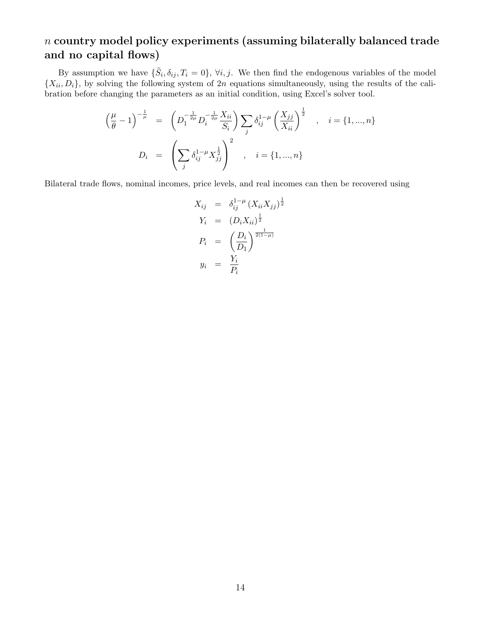### n country model policy experiments (assuming bilaterally balanced trade and no capital flows)

By assumption we have  $\{\tilde{S}_i, \delta_{ij}, T_i = 0\}$ ,  $\forall i, j$ . We then find the endogenous variables of the model  ${X_{ii}, D_i}$ , by solving the following system of 2n equations simultaneously, using the results of the calibration before changing the parameters as an initial condition, using Excel's solver tool.

$$
\left(\frac{\mu}{\theta} - 1\right)^{-\frac{1}{\mu}} = \left(D_1^{-\frac{1}{2\mu}} D_i^{-\frac{1}{2\mu}} \frac{X_{ii}}{S_i}\right) \sum_j \delta_{ij}^{1-\mu} \left(\frac{X_{jj}}{X_{ii}}\right)^{\frac{1}{2}}, \quad i = \{1, ..., n\}
$$
  

$$
D_i = \left(\sum_j \delta_{ij}^{1-\mu} X_{jj}^{\frac{1}{2}}\right)^2, \quad i = \{1, ..., n\}
$$

Bilateral trade flows, nominal incomes, price levels, and real incomes can then be recovered using

$$
X_{ij} = \delta_{ij}^{1-\mu} (X_{ii} X_{jj})^{\frac{1}{2}}
$$
  
\n
$$
Y_i = (D_i X_{ii})^{\frac{1}{2}}
$$
  
\n
$$
P_i = \left(\frac{D_i}{D_1}\right)^{\frac{1}{2(1-\mu)}}
$$
  
\n
$$
y_i = \frac{Y_i}{P_i}
$$